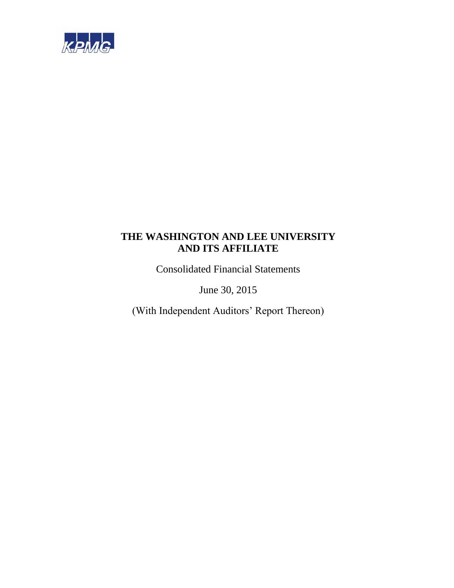

Consolidated Financial Statements

June 30, 2015

(With Independent Auditors' Report Thereon)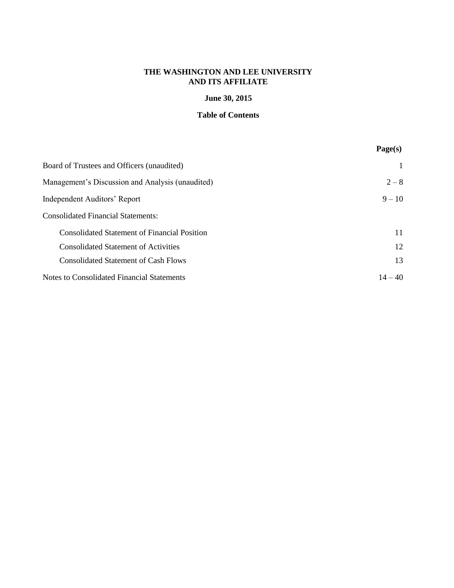# **June 30, 2015**

# **Table of Contents**

|                                                     | Page(s)   |
|-----------------------------------------------------|-----------|
| Board of Trustees and Officers (unaudited)          |           |
| Management's Discussion and Analysis (unaudited)    | $2 - 8$   |
| Independent Auditors' Report                        | $9 - 10$  |
| <b>Consolidated Financial Statements:</b>           |           |
| <b>Consolidated Statement of Financial Position</b> | 11        |
| <b>Consolidated Statement of Activities</b>         | 12        |
| <b>Consolidated Statement of Cash Flows</b>         | 13        |
| Notes to Consolidated Financial Statements          | $14 - 40$ |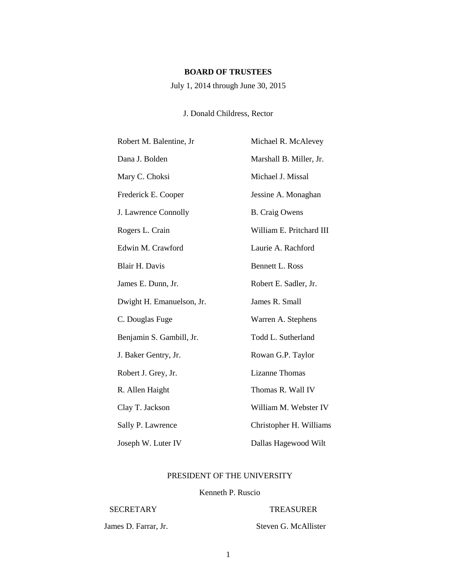# **BOARD OF TRUSTEES**

July 1, 2014 through June 30, 2015

# J. Donald Childress, Rector

| Robert M. Balentine, Jr   | Michael R. McAlevey      |
|---------------------------|--------------------------|
| Dana J. Bolden            | Marshall B. Miller, Jr.  |
| Mary C. Choksi            | Michael J. Missal        |
| Frederick E. Cooper       | Jessine A. Monaghan      |
| J. Lawrence Connolly      | <b>B.</b> Craig Owens    |
| Rogers L. Crain           | William E. Pritchard III |
| Edwin M. Crawford         | Laurie A. Rachford       |
| Blair H. Davis            | <b>Bennett L. Ross</b>   |
| James E. Dunn, Jr.        | Robert E. Sadler, Jr.    |
| Dwight H. Emanuelson, Jr. | James R. Small           |
| C. Douglas Fuge           | Warren A. Stephens       |
| Benjamin S. Gambill, Jr.  | Todd L. Sutherland       |
| J. Baker Gentry, Jr.      | Rowan G.P. Taylor        |
| Robert J. Grey, Jr.       | <b>Lizanne Thomas</b>    |
| R. Allen Haight           | Thomas R. Wall IV        |
| Clay T. Jackson           | William M. Webster IV    |
| Sally P. Lawrence         | Christopher H. Williams  |
| Joseph W. Luter IV        | Dallas Hagewood Wilt     |

# PRESIDENT OF THE UNIVERSITY

# Kenneth P. Ruscio

# SECRETARY TREASURER

James D. Farrar, Jr. Steven G. McAllister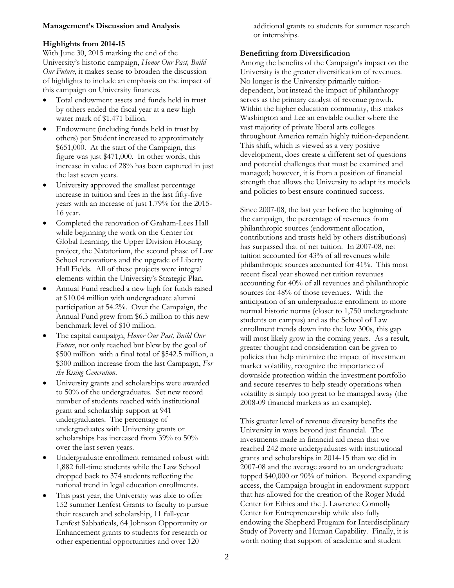# **Management's Discussion and Analysis**

# **Highlights from 2014-15**

With June 30, 2015 marking the end of the University's historic campaign, *Honor Our Past, Build Our Future*, it makes sense to broaden the discussion of highlights to include an emphasis on the impact of this campaign on University finances.

- Total endowment assets and funds held in trust by others ended the fiscal year at a new high water mark of \$1.471 billion.
- Endowment (including funds held in trust by others) per Student increased to approximately \$651,000. At the start of the Campaign, this figure was just \$471,000. In other words, this increase in value of 28% has been captured in just the last seven years.
- University approved the smallest percentage increase in tuition and fees in the last fifty-five years with an increase of just 1.79% for the 2015- 16 year.
- Completed the renovation of Graham-Lees Hall while beginning the work on the Center for Global Learning, the Upper Division Housing project, the Natatorium, the second phase of Law School renovations and the upgrade of Liberty Hall Fields. All of these projects were integral elements within the University's Strategic Plan.
- Annual Fund reached a new high for funds raised at \$10.04 million with undergraduate alumni participation at 54.2%. Over the Campaign, the Annual Fund grew from \$6.3 million to this new benchmark level of \$10 million.
- The capital campaign, *Honor Our Past, Build Our Future*, not only reached but blew by the goal of \$500 million with a final total of \$542.5 million, a \$300 million increase from the last Campaign, *For the Rising Generation*.
- University grants and scholarships were awarded to 50% of the undergraduates. Set new record number of students reached with institutional grant and scholarship support at 941 undergraduates. The percentage of undergraduates with University grants or scholarships has increased from 39% to 50% over the last seven years.
- Undergraduate enrollment remained robust with 1,882 full-time students while the Law School dropped back to 374 students reflecting the national trend in legal education enrollments.
- This past year, the University was able to offer 152 summer Lenfest Grants to faculty to pursue their research and scholarship, 11 full-year Lenfest Sabbaticals, 64 Johnson Opportunity or Enhancement grants to students for research or other experiential opportunities and over 120

additional grants to students for summer research or internships.

# **Benefitting from Diversification**

Among the benefits of the Campaign's impact on the University is the greater diversification of revenues. No longer is the University primarily tuitiondependent, but instead the impact of philanthropy serves as the primary catalyst of revenue growth. Within the higher education community, this makes Washington and Lee an enviable outlier where the vast majority of private liberal arts colleges throughout America remain highly tuition-dependent. This shift, which is viewed as a very positive development, does create a different set of questions and potential challenges that must be examined and managed; however, it is from a position of financial strength that allows the University to adapt its models and policies to best ensure continued success.

Since 2007-08, the last year before the beginning of the campaign, the percentage of revenues from philanthropic sources (endowment allocation, contributions and trusts held by others distributions) has surpassed that of net tuition. In 2007-08, net tuition accounted for 43% of all revenues while philanthropic sources accounted for 41%. This most recent fiscal year showed net tuition revenues accounting for 40% of all revenues and philanthropic sources for 48% of those revenues. With the anticipation of an undergraduate enrollment to more normal historic norms (closer to 1,750 undergraduate students on campus) and as the School of Law enrollment trends down into the low 300s, this gap will most likely grow in the coming years. As a result, greater thought and consideration can be given to policies that help minimize the impact of investment market volatility, recognize the importance of downside protection within the investment portfolio and secure reserves to help steady operations when volatility is simply too great to be managed away (the 2008-09 financial markets as an example).

This greater level of revenue diversity benefits the University in ways beyond just financial. The investments made in financial aid mean that we reached 242 more undergraduates with institutional grants and scholarships in 2014-15 than we did in 2007-08 and the average award to an undergraduate topped \$40,000 or 90% of tuition. Beyond expanding access, the Campaign brought in endowment support that has allowed for the creation of the Roger Mudd Center for Ethics and the J. Lawrence Connolly Center for Entrepreneurship while also fully endowing the Shepherd Program for Interdisciplinary Study of Poverty and Human Capability. Finally, it is worth noting that support of academic and student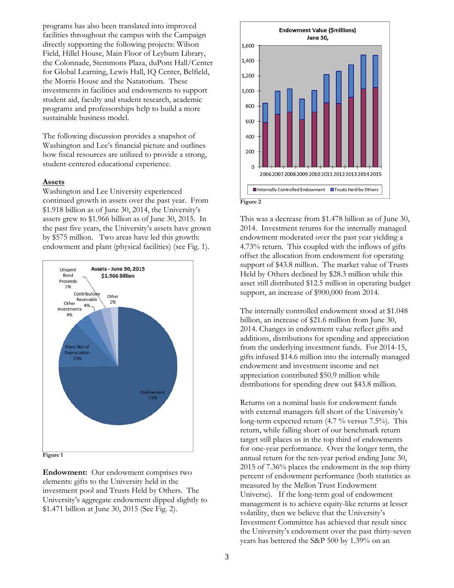programs has also been translated into improved facilities throughout the campus with the Campaign directly supporting the following projects: Wilson Field, Hillel House, Main Floor of Leyburn Library, the Colonnade, Stemmons Plaza, duPont Hall/Center for Global Learning, Lewis Hall, IQ Center, Belfield, the Morris House and the Natatorium. These investments in facilities and endowments to support student aid, faculty and student research, academic programs and professorships help to build a more sustainable business model.

The following discussion provides a snapshot of Washington and Lee's financial picture and outlines how fiscal resources are utilized to provide a strong, student-centered educational experience.

#### **Assets**

Washington and Lee University experienced continued growth in assets over the past year. From \$1.918 billion as of June 30, 2014, the University's assets grew to \$1.966 billion as of June 30, 2015. In the past five years, the University's assets have grown by \$575 million. Two areas have led this growth: endowment and plant (physical facilities) (see Fig. 1).



**Endowment:** Our endowment comprises two elements: gifts to the University held in the investment pool and Trusts Held by Others. The University's aggregate endowment dipped slightly to \$1.471 billion at June 30, 2015 (See Fig. 2).



This was a decrease from \$1.478 billion as of June 30, 2014. Investment returns for the internally managed endowment moderated over the past year yielding a 4.73% return. This coupled with the inflows of gifts offset the allocation from endowment for operating support of \$43.8 million. The market value of Trusts Held by Others declined by \$28.3 million while this asset still distributed \$12.5 million in operating budget support, an increase of \$900,000 from 2014.

The internally controlled endowment stood at \$1.048 billion, an increase of \$21.6 million from June 30, 2014. Changes in endowment value reflect gifts and additions, distributions for spending and appreciation from the underlying investment funds. For 2014-15, gifts infused \$14.6 million into the internally managed endowment and investment income and net appreciation contributed \$50.9 million while distributions for spending drew out \$43.8 million.

Returns on a nominal basis for endowment funds with external managers fell short of the University's long-term expected return (4.7 % versus 7.5%). This return, while falling short of our benchmark return target still places us in the top third of endowments for one-year performance. Over the longer term, the annual return for the ten-year period ending June 30, 2015 of 7.36% places the endowment in the top thirty percent of endowment performance (both statistics as measured by the Mellon Trust Endowment Universe). If the long-term goal of endowment management is to achieve equity-like returns at lesser volatility, then we believe that the University's Investment Committee has achieved that result since the University's endowment over the past thirty-seven years has bettered the S&P 500 by 1.39% on an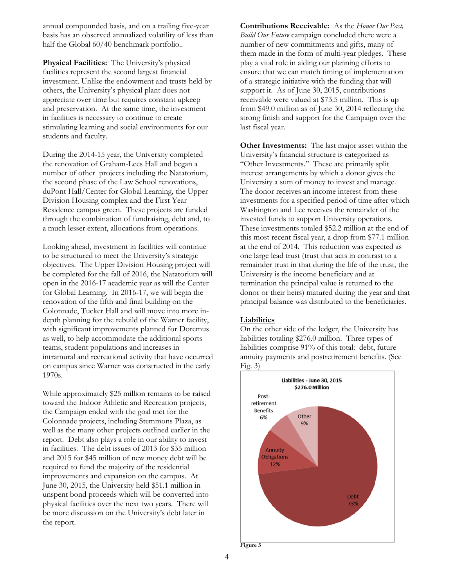annual compounded basis, and on a trailing five-year basis has an observed annualized volatility of less than half the Global 60/40 benchmark portfolio..

**Physical Facilities:** The University's physical facilities represent the second largest financial investment. Unlike the endowment and trusts held by others, the University's physical plant does not appreciate over time but requires constant upkeep and preservation. At the same time, the investment in facilities is necessary to continue to create stimulating learning and social environments for our students and faculty.

During the 2014-15 year, the University completed the renovation of Graham-Lees Hall and began a number of other projects including the Natatorium, the second phase of the Law School renovations, duPont Hall/Center for Global Learning, the Upper Division Housing complex and the First Year Residence campus green. These projects are funded through the combination of fundraising, debt and, to a much lesser extent, allocations from operations.

Looking ahead, investment in facilities will continue to be structured to meet the University's strategic objectives. The Upper Division Housing project will be completed for the fall of 2016, the Natatorium will open in the 2016-17 academic year as will the Center for Global Learning. In 2016-17, we will begin the renovation of the fifth and final building on the Colonnade, Tucker Hall and will move into more indepth planning for the rebuild of the Warner facility, with significant improvements planned for Doremus as well, to help accommodate the additional sports teams, student populations and increases in intramural and recreational activity that have occurred on campus since Warner was constructed in the early 1970s.

While approximately \$25 million remains to be raised toward the Indoor Athletic and Recreation projects, the Campaign ended with the goal met for the Colonnade projects, including Stemmons Plaza, as well as the many other projects outlined earlier in the report. Debt also plays a role in our ability to invest in facilities. The debt issues of 2013 for \$35 million and 2015 for \$45 million of new money debt will be required to fund the majority of the residential improvements and expansion on the campus. At June 30, 2015, the University held \$51.1 million in unspent bond proceeds which will be converted into physical facilities over the next two years. There will be more discussion on the University's debt later in the report.

**Contributions Receivable:** As the *Honor Our Past, Build Our Future* campaign concluded there were a number of new commitments and gifts, many of them made in the form of multi-year pledges. These play a vital role in aiding our planning efforts to ensure that we can match timing of implementation of a strategic initiative with the funding that will support it. As of June 30, 2015, contributions receivable were valued at \$73.5 million. This is up from \$49.0 million as of June 30, 2014 reflecting the strong finish and support for the Campaign over the last fiscal year.

**Other Investments:** The last major asset within the University's financial structure is categorized as "Other Investments." These are primarily split interest arrangements by which a donor gives the University a sum of money to invest and manage. The donor receives an income interest from these investments for a specified period of time after which Washington and Lee receives the remainder of the invested funds to support University operations. These investments totaled \$52.2 million at the end of this most recent fiscal year, a drop from \$77.1 million at the end of 2014. This reduction was expected as one large lead trust (trust that acts in contrast to a remainder trust in that during the life of the trust, the University is the income beneficiary and at termination the principal value is returned to the donor or their heirs) matured during the year and that principal balance was distributed to the beneficiaries.

#### **Liabilities**

On the other side of the ledger, the University has liabilities totaling \$276.0 million. Three types of liabilities comprise 91% of this total: debt, future annuity payments and postretirement benefits. (See Fig. 3)



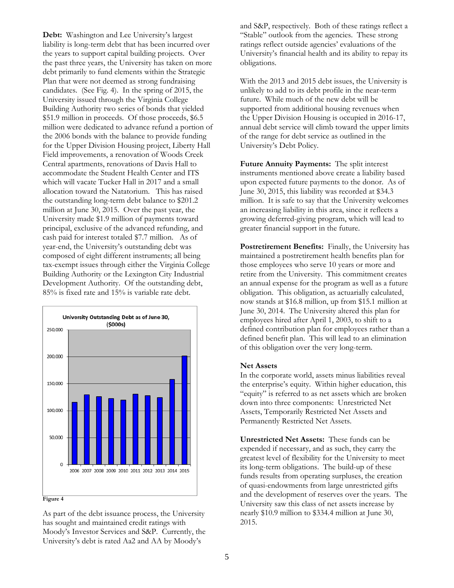**Debt:** Washington and Lee University's largest liability is long-term debt that has been incurred over the years to support capital building projects. Over the past three years, the University has taken on more debt primarily to fund elements within the Strategic Plan that were not deemed as strong fundraising candidates. (See Fig. 4). In the spring of 2015, the University issued through the Virginia College Building Authority two series of bonds that yielded \$51.9 million in proceeds. Of those proceeds, \$6.5 million were dedicated to advance refund a portion of the 2006 bonds with the balance to provide funding for the Upper Division Housing project, Liberty Hall Field improvements, a renovation of Woods Creek Central apartments, renovations of Davis Hall to accommodate the Student Health Center and ITS which will vacate Tucker Hall in 2017 and a small allocation toward the Natatorium. This has raised the outstanding long-term debt balance to \$201.2 million at June 30, 2015. Over the past year, the University made \$1.9 million of payments toward principal, exclusive of the advanced refunding, and cash paid for interest totaled \$7.7 million. As of year-end, the University's outstanding debt was composed of eight different instruments; all being tax-exempt issues through either the Virginia College Building Authority or the Lexington City Industrial Development Authority. Of the outstanding debt, 85% is fixed rate and 15% is variable rate debt.



As part of the debt issuance process, the University has sought and maintained credit ratings with Moody's Investor Services and S&P. Currently, the University's debt is rated Aa2 and AA by Moody's

and S&P, respectively. Both of these ratings reflect a "Stable" outlook from the agencies. These strong ratings reflect outside agencies' evaluations of the University's financial health and its ability to repay its obligations.

With the 2013 and 2015 debt issues, the University is unlikely to add to its debt profile in the near-term future. While much of the new debt will be supported from additional housing revenues when the Upper Division Housing is occupied in 2016-17, annual debt service will climb toward the upper limits of the range for debt service as outlined in the University's Debt Policy.

**Future Annuity Payments:** The split interest instruments mentioned above create a liability based upon expected future payments to the donor. As of June 30, 2015, this liability was recorded at \$34.3 million. It is safe to say that the University welcomes an increasing liability in this area, since it reflects a growing deferred-giving program, which will lead to greater financial support in the future.

**Postretirement Benefits:** Finally, the University has maintained a postretirement health benefits plan for those employees who serve 10 years or more and retire from the University. This commitment creates an annual expense for the program as well as a future obligation. This obligation, as actuarially calculated, now stands at \$16.8 million, up from \$15.1 million at June 30, 2014. The University altered this plan for employees hired after April 1, 2003, to shift to a defined contribution plan for employees rather than a defined benefit plan. This will lead to an elimination of this obligation over the very long-term.

#### **Net Assets**

In the corporate world, assets minus liabilities reveal the enterprise's equity. Within higher education, this "equity" is referred to as net assets which are broken down into three components: Unrestricted Net Assets, Temporarily Restricted Net Assets and Permanently Restricted Net Assets.

**Unrestricted Net Assets:** These funds can be expended if necessary, and as such, they carry the greatest level of flexibility for the University to meet its long-term obligations. The build-up of these funds results from operating surpluses, the creation of quasi-endowments from large unrestricted gifts and the development of reserves over the years. The University saw this class of net assets increase by nearly \$10.9 million to \$334.4 million at June 30, 2015.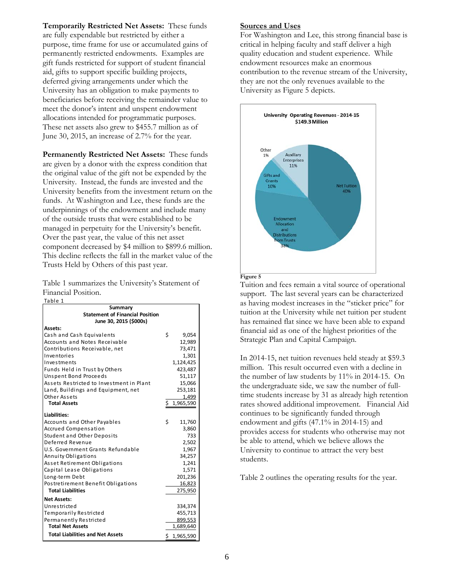**Temporarily Restricted Net Assets:** These funds are fully expendable but restricted by either a purpose, time frame for use or accumulated gains of permanently restricted endowments. Examples are gift funds restricted for support of student financial aid, gifts to support specific building projects, deferred giving arrangements under which the University has an obligation to make payments to beneficiaries before receiving the remainder value to meet the donor's intent and unspent endowment allocations intended for programmatic purposes. These net assets also grew to \$455.7 million as of June 30, 2015, an increase of 2.7% for the year.

**Permanently Restricted Net Assets:** These funds are given by a donor with the express condition that the original value of the gift not be expended by the University. Instead, the funds are invested and the University benefits from the investment return on the funds. At Washington and Lee, these funds are the underpinnings of the endowment and include many of the outside trusts that were established to be managed in perpetuity for the University's benefit. Over the past year, the value of this net asset component decreased by \$4 million to \$899.6 million. This decline reflects the fall in the market value of the Trusts Held by Others of this past year.

Table 1 summarizes the University's Statement of Financial Position.

| Table 1                                  |    |             |
|------------------------------------------|----|-------------|
| Summary                                  |    |             |
| <b>Statement of Financial Position</b>   |    |             |
| June 30, 2015 (\$000s)                   |    |             |
| Assets:                                  |    |             |
| Cash and Cash Equivalents                | \$ | 9,054       |
| Accounts and Notes Receivable            |    | 12,989      |
| Contributions Receivable, net            |    | 73,471      |
| Inventories                              |    | 1,301       |
| Investments                              |    | 1,124,425   |
| Funds Held in Trust by Others            |    | 423,487     |
| <b>Unspent Bond Proceeds</b>             |    | 51,117      |
| Assets Restricted to Investment in Plant |    | 15,066      |
| Land, Buildings and Equipment, net       |    | 253,181     |
| Other Assets                             |    | 1,499       |
| <b>Total Assets</b>                      |    | 1,965,590   |
| Liabilities:                             |    |             |
| Accounts and Other Payables              | Ś  | 11,760      |
| Accrued Compensation                     |    | 3,860       |
| <b>Student and Other Deposits</b>        |    | 733         |
| Deferred Revenue                         |    | 2,502       |
| U.S. Government Grants Refundable        |    | 1,967       |
| Annuity Obligations                      |    | 34,257      |
| Asset Retirement Obligations             |    | 1,241       |
| Capital Lease Obligations                |    | 1,571       |
| Long-term Debt                           |    | 201,236     |
| Postretirement Benefit Obligations       |    | 16,823      |
| <b>Total Liabilities</b>                 |    | 275,950     |
| <b>Net Assets:</b>                       |    |             |
| Unrestricted                             |    | 334,374     |
| Temporarily Restricted                   |    | 455,713     |
| Permanently Restricted                   |    | 899.553     |
| <b>Total Net Assets</b>                  |    | 1,689,640   |
| <b>Total Liabilities and Net Assets</b>  |    | \$1,965,590 |

#### **Sources and Uses**

For Washington and Lee, this strong financial base is critical in helping faculty and staff deliver a high quality education and student experience. While endowment resources make an enormous contribution to the revenue stream of the University, they are not the only revenues available to the University as Figure 5 depicts.



#### **Figure 5**

Tuition and fees remain a vital source of operational support. The last several years can be characterized as having modest increases in the "sticker price" for tuition at the University while net tuition per student has remained flat since we have been able to expand financial aid as one of the highest priorities of the Strategic Plan and Capital Campaign.

In 2014-15, net tuition revenues held steady at \$59.3 million. This result occurred even with a decline in the number of law students by 11% in 2014-15. On the undergraduate side, we saw the number of fulltime students increase by 31 as already high retention rates showed additional improvement. Financial Aid continues to be significantly funded through endowment and gifts (47.1% in 2014-15) and provides access for students who otherwise may not be able to attend, which we believe allows the University to continue to attract the very best students.

Table 2 outlines the operating results for the year.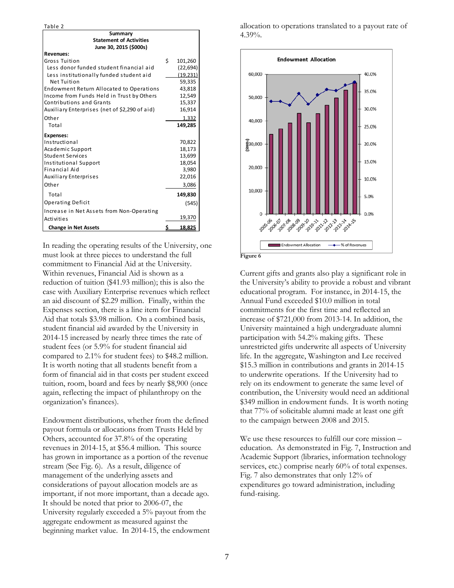| Table 2                                                                                                                                                                                                                                                                                                                    |                                                                                          |
|----------------------------------------------------------------------------------------------------------------------------------------------------------------------------------------------------------------------------------------------------------------------------------------------------------------------------|------------------------------------------------------------------------------------------|
| Summary<br><b>Statement of Activities</b><br>June 30, 2015 (\$000s)                                                                                                                                                                                                                                                        |                                                                                          |
| <b>Revenues:</b><br>Gross Tuition<br>Less donor funded student financial aid<br>Less institutionally funded student aid<br>Net Tuition<br><b>Endowment Return Allocated to Operations</b><br>Income from Funds Held in Trust by Others<br><b>Contributions and Grants</b><br>Auxiliary Enterprises (net of \$2,290 of aid) | \$<br>101,260<br>(22, 694)<br>(19.231)<br>59,335<br>43,818<br>12,549<br>15,337<br>16,914 |
| Other<br>Total                                                                                                                                                                                                                                                                                                             | 1,332<br>149,285                                                                         |
| <b>Expenses:</b><br>Instructional<br>Academic Support<br>Student Services<br>Institutional Support<br>Financial Aid<br>Auxiliary Enterprises<br>Other                                                                                                                                                                      | 70,822<br>18,173<br>13,699<br>18,054<br>3,980<br>22,016<br>3,086                         |
| Total<br>Operating Deficit<br>Increase in Net Assets from Non-Operating<br>Activities<br><b>Change in Net Assets</b>                                                                                                                                                                                                       | 149,830<br>(545)<br>19,370<br>18.825                                                     |

In reading the operating results of the University, one must look at three pieces to understand the full commitment to Financial Aid at the University. Within revenues, Financial Aid is shown as a reduction of tuition (\$41.93 million); this is also the case with Auxiliary Enterprise revenues which reflect an aid discount of \$2.29 million. Finally, within the Expenses section, there is a line item for Financial Aid that totals \$3.98 million. On a combined basis, student financial aid awarded by the University in 2014-15 increased by nearly three times the rate of student fees (or 5.9% for student financial aid compared to 2.1% for student fees) to \$48.2 million. It is worth noting that all students benefit from a form of financial aid in that costs per student exceed tuition, room, board and fees by nearly \$8,900 (once again, reflecting the impact of philanthropy on the organization's finances).

Endowment distributions, whether from the defined payout formula or allocations from Trusts Held by Others, accounted for 37.8% of the operating revenues in 2014-15, at \$56.4 million. This source has grown in importance as a portion of the revenue stream (See Fig. 6). As a result, diligence of management of the underlying assets and considerations of payout allocation models are as important, if not more important, than a decade ago. It should be noted that prior to 2006-07, the University regularly exceeded a 5% payout from the aggregate endowment as measured against the beginning market value. In 2014-15, the endowment allocation to operations translated to a payout rate of 4.39%.



Current gifts and grants also play a significant role in the University's ability to provide a robust and vibrant educational program. For instance, in 2014-15, the Annual Fund exceeded \$10.0 million in total commitments for the first time and reflected an increase of \$721,000 from 2013-14. In addition, the University maintained a high undergraduate alumni participation with 54.2% making gifts. These unrestricted gifts underwrite all aspects of University life. In the aggregate, Washington and Lee received \$15.3 million in contributions and grants in 2014-15 to underwrite operations. If the University had to rely on its endowment to generate the same level of contribution, the University would need an additional \$349 million in endowment funds. It is worth noting that 77% of solicitable alumni made at least one gift to the campaign between 2008 and 2015.

We use these resources to fulfill our core mission – education. As demonstrated in Fig. 7, Instruction and Academic Support (libraries, information technology services, etc.) comprise nearly 60% of total expenses. Fig. 7 also demonstrates that only 12% of expenditures go toward administration, including fund-raising.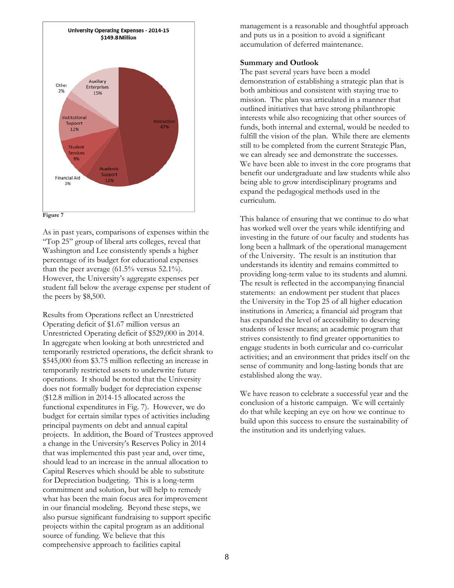



As in past years, comparisons of expenses within the "Top 25" group of liberal arts colleges, reveal that Washington and Lee consistently spends a higher percentage of its budget for educational expenses than the peer average (61.5% versus 52.1%). However, the University's aggregate expenses per student fall below the average expense per student of the peers by \$8,500.

Results from Operations reflect an Unrestricted Operating deficit of \$1.67 million versus an Unrestricted Operating deficit of \$529,000 in 2014. In aggregate when looking at both unrestricted and temporarily restricted operations, the deficit shrank to \$545,000 from \$3.75 million reflecting an increase in temporarily restricted assets to underwrite future operations. It should be noted that the University does not formally budget for depreciation expense (\$12.8 million in 2014-15 allocated across the functional expenditures in Fig. 7). However, we do budget for certain similar types of activities including principal payments on debt and annual capital projects. In addition, the Board of Trustees approved a change in the University's Reserves Policy in 2014 that was implemented this past year and, over time, should lead to an increase in the annual allocation to Capital Reserves which should be able to substitute for Depreciation budgeting. This is a long-term commitment and solution, but will help to remedy what has been the main focus area for improvement in our financial modeling. Beyond these steps, we also pursue significant fundraising to support specific projects within the capital program as an additional source of funding. We believe that this comprehensive approach to facilities capital

management is a reasonable and thoughtful approach and puts us in a position to avoid a significant accumulation of deferred maintenance.

## **Summary and Outlook**

The past several years have been a model demonstration of establishing a strategic plan that is both ambitious and consistent with staying true to mission. The plan was articulated in a manner that outlined initiatives that have strong philanthropic interests while also recognizing that other sources of funds, both internal and external, would be needed to fulfill the vision of the plan. While there are elements still to be completed from the current Strategic Plan, we can already see and demonstrate the successes. We have been able to invest in the core programs that benefit our undergraduate and law students while also being able to grow interdisciplinary programs and expand the pedagogical methods used in the curriculum.

This balance of ensuring that we continue to do what has worked well over the years while identifying and investing in the future of our faculty and students has long been a hallmark of the operational management of the University. The result is an institution that understands its identity and remains committed to providing long-term value to its students and alumni. The result is reflected in the accompanying financial statements: an endowment per student that places the University in the Top 25 of all higher education institutions in America; a financial aid program that has expanded the level of accessibility to deserving students of lesser means; an academic program that strives consistently to find greater opportunities to engage students in both curricular and co-curricular activities; and an environment that prides itself on the sense of community and long-lasting bonds that are established along the way.

We have reason to celebrate a successful year and the conclusion of a historic campaign. We will certainly do that while keeping an eye on how we continue to build upon this success to ensure the sustainability of the institution and its underlying values.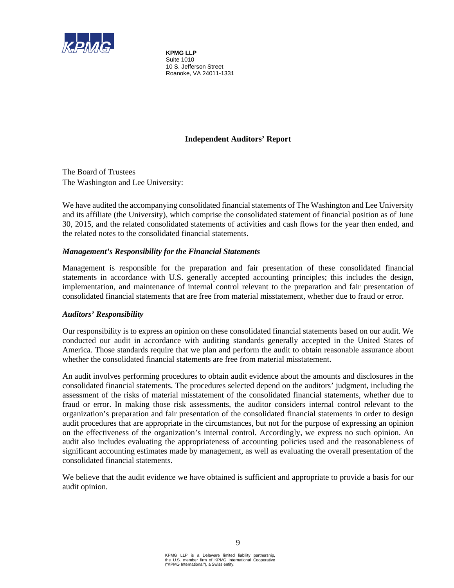

**KPMG LLP** Suite 1010 10 S. Jefferson Street Roanoke, VA 24011-1331

# **Independent Auditors' Report**

The Board of Trustees The Washington and Lee University:

We have audited the accompanying consolidated financial statements of The Washington and Lee University and its affiliate (the University), which comprise the consolidated statement of financial position as of June 30, 2015, and the related consolidated statements of activities and cash flows for the year then ended, and the related notes to the consolidated financial statements.

# *Management's Responsibility for the Financial Statements*

Management is responsible for the preparation and fair presentation of these consolidated financial statements in accordance with U.S. generally accepted accounting principles; this includes the design, implementation, and maintenance of internal control relevant to the preparation and fair presentation of consolidated financial statements that are free from material misstatement, whether due to fraud or error.

# *Auditors' Responsibility*

Our responsibility is to express an opinion on these consolidated financial statements based on our audit. We conducted our audit in accordance with auditing standards generally accepted in the United States of America. Those standards require that we plan and perform the audit to obtain reasonable assurance about whether the consolidated financial statements are free from material misstatement.

An audit involves performing procedures to obtain audit evidence about the amounts and disclosures in the consolidated financial statements. The procedures selected depend on the auditors' judgment, including the assessment of the risks of material misstatement of the consolidated financial statements, whether due to fraud or error. In making those risk assessments, the auditor considers internal control relevant to the organization's preparation and fair presentation of the consolidated financial statements in order to design audit procedures that are appropriate in the circumstances, but not for the purpose of expressing an opinion on the effectiveness of the organization's internal control. Accordingly, we express no such opinion. An audit also includes evaluating the appropriateness of accounting policies used and the reasonableness of significant accounting estimates made by management, as well as evaluating the overall presentation of the consolidated financial statements.

We believe that the audit evidence we have obtained is sufficient and appropriate to provide a basis for our audit opinion.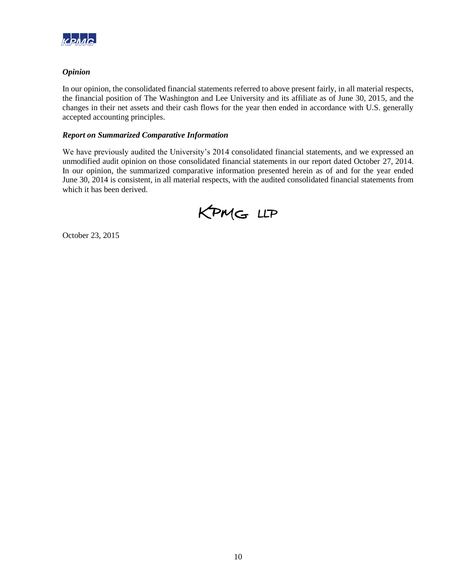

# *Opinion*

In our opinion, the consolidated financial statements referred to above present fairly, in all material respects, the financial position of The Washington and Lee University and its affiliate as of June 30, 2015, and the changes in their net assets and their cash flows for the year then ended in accordance with U.S. generally accepted accounting principles.

# *Report on Summarized Comparative Information*

We have previously audited the University's 2014 consolidated financial statements, and we expressed an unmodified audit opinion on those consolidated financial statements in our report dated October 27, 2014. In our opinion, the summarized comparative information presented herein as of and for the year ended June 30, 2014 is consistent, in all material respects, with the audited consolidated financial statements from which it has been derived.

KPMG LLP

October 23, 2015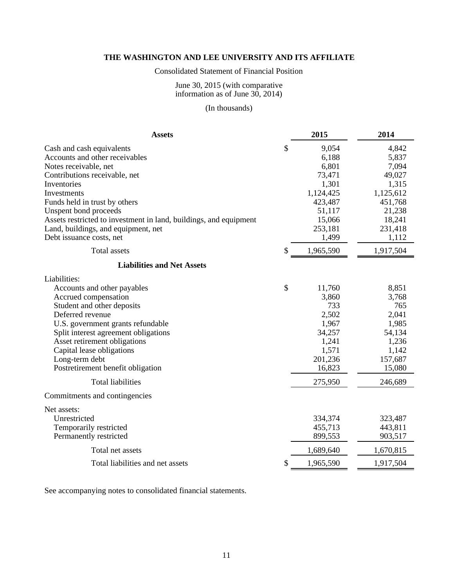# Consolidated Statement of Financial Position

#### June 30, 2015 (with comparative information as of June 30, 2014)

# (In thousands)

| <b>Assets</b>                                                     | 2015            | 2014      |
|-------------------------------------------------------------------|-----------------|-----------|
| Cash and cash equivalents                                         | \$<br>9,054     | 4,842     |
| Accounts and other receivables                                    | 6,188           | 5,837     |
| Notes receivable, net                                             | 6,801           | 7,094     |
| Contributions receivable, net                                     | 73,471          | 49,027    |
| Inventories                                                       | 1,301           | 1,315     |
| Investments                                                       | 1,124,425       | 1,125,612 |
| Funds held in trust by others                                     | 423,487         | 451,768   |
| Unspent bond proceeds                                             | 51,117          | 21,238    |
| Assets restricted to investment in land, buildings, and equipment | 15,066          | 18,241    |
| Land, buildings, and equipment, net                               | 253,181         | 231,418   |
| Debt issuance costs, net                                          | 1,499           | 1,112     |
| <b>Total assets</b>                                               | \$<br>1,965,590 | 1,917,504 |
| <b>Liabilities and Net Assets</b>                                 |                 |           |
| Liabilities:                                                      |                 |           |
| Accounts and other payables                                       | \$<br>11,760    | 8,851     |
| Accrued compensation                                              | 3,860           | 3,768     |
| Student and other deposits                                        | 733             | 765       |
| Deferred revenue                                                  | 2,502           | 2,041     |
| U.S. government grants refundable                                 | 1,967           | 1,985     |
| Split interest agreement obligations                              | 34,257          | 54,134    |
| Asset retirement obligations                                      | 1,241           | 1,236     |
| Capital lease obligations                                         | 1,571           | 1,142     |
| Long-term debt                                                    | 201,236         | 157,687   |
| Postretirement benefit obligation                                 | 16,823          | 15,080    |
| <b>Total liabilities</b>                                          | 275,950         | 246,689   |
| Commitments and contingencies                                     |                 |           |
| Net assets:                                                       |                 |           |
| Unrestricted                                                      | 334,374         | 323,487   |
| Temporarily restricted                                            | 455,713         | 443,811   |
| Permanently restricted                                            | 899,553         | 903,517   |
| Total net assets                                                  | 1,689,640       | 1,670,815 |
| Total liabilities and net assets                                  | \$<br>1,965,590 | 1,917,504 |

See accompanying notes to consolidated financial statements.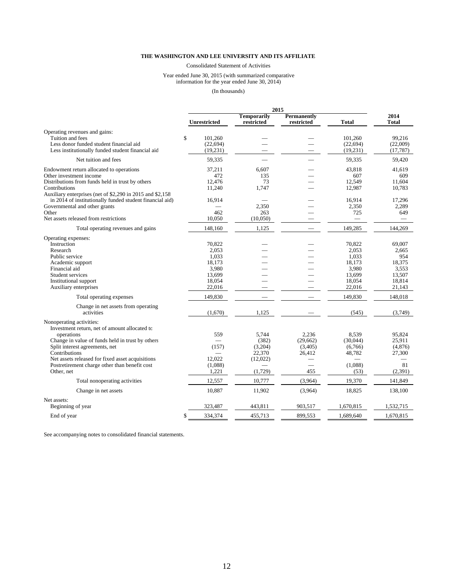#### Consolidated Statement of Activities

#### Year ended June 30, 2015 (with summarized comparative information for the year ended June 30, 2014)

(In thousands)

|                                                                                                                                                                                                                                                                                                                                                                            |                                                                                      |                                                                                | 2015                                                                |                                                                                      |                                                                                    |
|----------------------------------------------------------------------------------------------------------------------------------------------------------------------------------------------------------------------------------------------------------------------------------------------------------------------------------------------------------------------------|--------------------------------------------------------------------------------------|--------------------------------------------------------------------------------|---------------------------------------------------------------------|--------------------------------------------------------------------------------------|------------------------------------------------------------------------------------|
|                                                                                                                                                                                                                                                                                                                                                                            | Unrestricted                                                                         | <b>Temporarily</b><br>restricted                                               | <b>Permanently</b><br>restricted                                    | <b>Total</b>                                                                         | 2014<br><b>Total</b>                                                               |
| Operating revenues and gains:<br>Tuition and fees<br>Less donor funded student financial aid<br>Less institutionally funded student financial aid                                                                                                                                                                                                                          | \$<br>101,260<br>(22, 694)<br>(19, 231)                                              |                                                                                |                                                                     | 101,260<br>(22, 694)<br>(19,231)                                                     | 99.216<br>(22,009)<br>(17, 787)                                                    |
| Net tuition and fees                                                                                                                                                                                                                                                                                                                                                       | 59,335                                                                               | ÷.                                                                             |                                                                     | 59,335                                                                               | 59,420                                                                             |
| Endowment return allocated to operations<br>Other investment income<br>Distributions from funds held in trust by others<br>Contributions                                                                                                                                                                                                                                   | 37,211<br>472<br>12,476<br>11,240                                                    | 6.607<br>135<br>73<br>1.747                                                    |                                                                     | 43,818<br>607<br>12,549<br>12,987                                                    | 41,619<br>609<br>11.604<br>10,783                                                  |
| Auxiliary enterprises (net of \$2,290 in 2015 and \$2,158<br>in 2014 of institutionally funded student financial aid)<br>Governmental and other grants<br>Other<br>Net assets released from restrictions                                                                                                                                                                   | 16,914<br>462<br>10,050                                                              | 2,350<br>263<br>(10,050)                                                       |                                                                     | 16,914<br>2,350<br>725                                                               | 17,296<br>2,289<br>649                                                             |
| Total operating revenues and gains                                                                                                                                                                                                                                                                                                                                         | 148,160                                                                              | 1,125                                                                          |                                                                     | 149,285                                                                              | 144,269                                                                            |
| Operating expenses:<br>Instruction<br>Research<br>Public service<br>Academic support<br>Financial aid<br>Student services<br><b>Institutional support</b><br>Auxiliary enterprises<br>Total operating expenses<br>Change in net assets from operating                                                                                                                      | 70.822<br>2,053<br>1,033<br>18,173<br>3,980<br>13,699<br>18,054<br>22,016<br>149,830 |                                                                                |                                                                     | 70.822<br>2,053<br>1,033<br>18,173<br>3,980<br>13,699<br>18,054<br>22,016<br>149,830 | 69,007<br>2,665<br>954<br>18,375<br>3,553<br>13,507<br>18,814<br>21,143<br>148,018 |
| activities                                                                                                                                                                                                                                                                                                                                                                 | (1,670)                                                                              | 1,125                                                                          |                                                                     | (545)                                                                                | (3,749)                                                                            |
| Nonoperating activities:<br>Investment return, net of amount allocated to<br>operations<br>Change in value of funds held in trust by others<br>Split interest agreements, net<br>Contributions<br>Net assets released for fixed asset acquisitions<br>Postretirement charge other than benefit cost<br>Other, net<br>Total nonoperating activities<br>Change in net assets | 559<br>(157)<br>12,022<br>(1,088)<br>1,221<br>12,557<br>10,887                       | 5.744<br>(382)<br>(3,204)<br>22,370<br>(12,022)<br>(1,729)<br>10,777<br>11,902 | 2.236<br>(29,662)<br>(3,405)<br>26,412<br>455<br>(3,964)<br>(3,964) | 8.539<br>(30,044)<br>(6,766)<br>48,782<br>(1,088)<br>(53)<br>19,370<br>18,825        | 95.824<br>25,911<br>(4,876)<br>27,300<br>81<br>(2,391)<br>141,849<br>138,100       |
| Net assets:                                                                                                                                                                                                                                                                                                                                                                |                                                                                      |                                                                                |                                                                     |                                                                                      |                                                                                    |
| Beginning of year                                                                                                                                                                                                                                                                                                                                                          | 323,487                                                                              | 443,811                                                                        | 903,517                                                             | 1,670,815                                                                            | 1,532,715                                                                          |
| End of year                                                                                                                                                                                                                                                                                                                                                                | \$<br>334,374                                                                        | 455,713                                                                        | 899,553                                                             | 1.689.640                                                                            | 1,670,815                                                                          |

See accompanying notes to consolidated financial statements.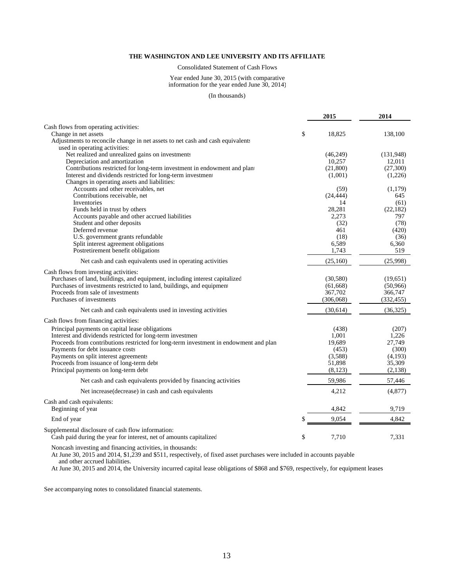#### Consolidated Statement of Cash Flows

#### Year ended June 30, 2015 (with comparative information for the year ended June 30, 2014)

(In thousands)

|                                                                                       |     | 2015      | 2014       |
|---------------------------------------------------------------------------------------|-----|-----------|------------|
| Cash flows from operating activities:                                                 |     |           |            |
| Change in net assets                                                                  | \$  | 18,825    | 138,100    |
| Adjustments to reconcile change in net assets to net cash and cash equivalents        |     |           |            |
| used in operating activities:                                                         |     |           |            |
| Net realized and unrealized gains on investments                                      |     | (46,249)  | (131,948)  |
| Depreciation and amortization                                                         |     | 10,257    | 12,011     |
| Contributions restricted for long-term investment in endowment and plan               |     | (21,800)  | (27,300)   |
| Interest and dividends restricted for long-term investment                            |     | (1,001)   | (1,226)    |
| Changes in operating assets and liabilities:                                          |     |           |            |
| Accounts and other receivables, net                                                   |     | (59)      | (1,179)    |
| Contributions receivable, net                                                         |     | (24, 444) | 645        |
| Inventories                                                                           |     | 14        | (61)       |
| Funds held in trust by others                                                         |     | 28,281    | (22, 182)  |
| Accounts payable and other accrued liabilities                                        |     | 2,273     | 797        |
| Student and other deposits                                                            |     | (32)      | (78)       |
| Deferred revenue                                                                      |     | 461       | (420)      |
| U.S. government grants refundable                                                     |     | (18)      | (36)       |
| Split interest agreement obligations                                                  |     | 6,589     | 6,360      |
| Postretirement benefit obligations                                                    |     | 1,743     | 519        |
| Net cash and cash equivalents used in operating activities                            |     | (25,160)  | (25,998)   |
| Cash flows from investing activities:                                                 |     |           |            |
| Purchases of land, buildings, and equipment, including interest capitalized           |     | (30, 580) | (19,651)   |
| Purchases of investments restricted to land, buildings, and equipment                 |     | (61, 668) | (50,966)   |
| Proceeds from sale of investments                                                     |     | 367,702   | 366,747    |
| Purchases of investments                                                              |     | (306,068) | (332, 455) |
| Net cash and cash equivalents used in investing activities                            |     | (30,614)  | (36,325)   |
| Cash flows from financing activities:                                                 |     |           |            |
| Principal payments on capital lease obligations                                       |     | (438)     | (207)      |
| Interest and dividends restricted for long-term investment                            |     | 1,001     | 1,226      |
| Proceeds from contributions restricted for long-term investment in endowment and plan |     | 19,689    | 27,749     |
| Payments for debt issuance costs                                                      |     | (453)     | (300)      |
| Payments on split interest agreements                                                 |     | (3,588)   | (4,193)    |
| Proceeds from issuance of long-term debt                                              |     | 51,898    | 35,309     |
| Principal payments on long-term debt                                                  |     | (8, 123)  | (2,138)    |
| Net cash and cash equivalents provided by financing activities                        |     | 59,986    | 57,446     |
| Net increase (decrease) in cash and cash equivalents                                  |     | 4,212     | (4,877)    |
|                                                                                       |     |           |            |
| Cash and cash equivalents:<br>Beginning of year                                       |     | 4,842     | 9,719      |
| End of year                                                                           | \$. | 9,054     | 4,842      |
|                                                                                       |     |           |            |
| Supplemental disclosure of cash flow information:                                     |     |           |            |
| Cash paid during the year for interest, net of amounts capitalized                    | \$  | 7,710     | 7,331      |

Noncash investing and financing activities, in thousands:

At June 30, 2015 and 2014, \$1,239 and \$511, respectively, of fixed asset purchases were included in accounts payable and other accrued liabilities.

At June 30, 2015 and 2014, the University incurred capital lease obligations of \$868 and \$769, respectively, for equipment leases

See accompanying notes to consolidated financial statements.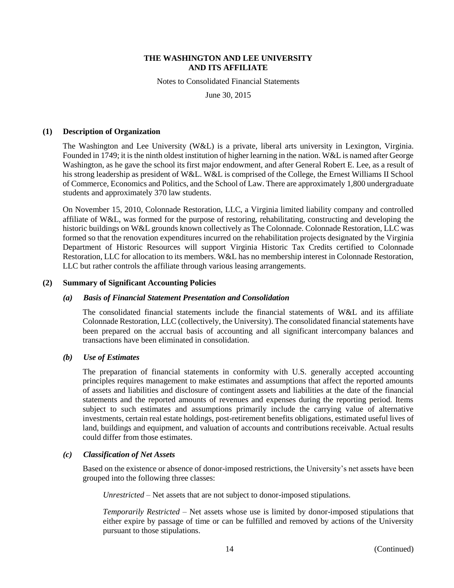Notes to Consolidated Financial Statements

June 30, 2015

# **(1) Description of Organization**

The Washington and Lee University (W&L) is a private, liberal arts university in Lexington, Virginia. Founded in 1749; it is the ninth oldest institution of higher learning in the nation. W&L is named after George Washington, as he gave the school its first major endowment, and after General Robert E. Lee, as a result of his strong leadership as president of W&L. W&L is comprised of the College, the Ernest Williams II School of Commerce, Economics and Politics, and the School of Law. There are approximately 1,800 undergraduate students and approximately 370 law students.

On November 15, 2010, Colonnade Restoration, LLC, a Virginia limited liability company and controlled affiliate of W&L, was formed for the purpose of restoring, rehabilitating, constructing and developing the historic buildings on W&L grounds known collectively as The Colonnade. Colonnade Restoration, LLC was formed so that the renovation expenditures incurred on the rehabilitation projects designated by the Virginia Department of Historic Resources will support Virginia Historic Tax Credits certified to Colonnade Restoration, LLC for allocation to its members. W&L has no membership interest in Colonnade Restoration, LLC but rather controls the affiliate through various leasing arrangements.

#### **(2) Summary of Significant Accounting Policies**

#### *(a) Basis of Financial Statement Presentation and Consolidation*

The consolidated financial statements include the financial statements of W&L and its affiliate Colonnade Restoration, LLC (collectively, the University). The consolidated financial statements have been prepared on the accrual basis of accounting and all significant intercompany balances and transactions have been eliminated in consolidation.

# *(b) Use of Estimates*

The preparation of financial statements in conformity with U.S. generally accepted accounting principles requires management to make estimates and assumptions that affect the reported amounts of assets and liabilities and disclosure of contingent assets and liabilities at the date of the financial statements and the reported amounts of revenues and expenses during the reporting period. Items subject to such estimates and assumptions primarily include the carrying value of alternative investments, certain real estate holdings, post-retirement benefits obligations, estimated useful lives of land, buildings and equipment, and valuation of accounts and contributions receivable. Actual results could differ from those estimates.

#### *(c) Classification of Net Assets*

Based on the existence or absence of donor-imposed restrictions, the University's net assets have been grouped into the following three classes:

*Unrestricted* – Net assets that are not subject to donor-imposed stipulations.

*Temporarily Restricted* – Net assets whose use is limited by donor-imposed stipulations that either expire by passage of time or can be fulfilled and removed by actions of the University pursuant to those stipulations.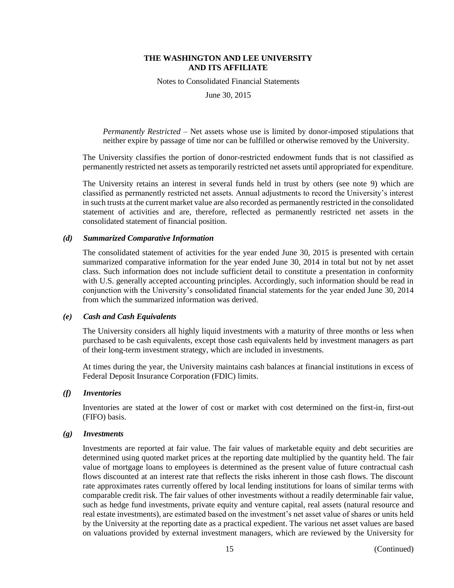Notes to Consolidated Financial Statements

June 30, 2015

*Permanently Restricted* – Net assets whose use is limited by donor-imposed stipulations that neither expire by passage of time nor can be fulfilled or otherwise removed by the University.

The University classifies the portion of donor-restricted endowment funds that is not classified as permanently restricted net assets as temporarily restricted net assets until appropriated for expenditure.

The University retains an interest in several funds held in trust by others (see note 9) which are classified as permanently restricted net assets. Annual adjustments to record the University's interest in such trusts at the current market value are also recorded as permanently restricted in the consolidated statement of activities and are, therefore, reflected as permanently restricted net assets in the consolidated statement of financial position.

# *(d) Summarized Comparative Information*

The consolidated statement of activities for the year ended June 30, 2015 is presented with certain summarized comparative information for the year ended June 30, 2014 in total but not by net asset class. Such information does not include sufficient detail to constitute a presentation in conformity with U.S. generally accepted accounting principles. Accordingly, such information should be read in conjunction with the University's consolidated financial statements for the year ended June 30, 2014 from which the summarized information was derived.

#### *(e) Cash and Cash Equivalents*

The University considers all highly liquid investments with a maturity of three months or less when purchased to be cash equivalents, except those cash equivalents held by investment managers as part of their long-term investment strategy, which are included in investments.

At times during the year, the University maintains cash balances at financial institutions in excess of Federal Deposit Insurance Corporation (FDIC) limits.

#### *(f) Inventories*

Inventories are stated at the lower of cost or market with cost determined on the first-in, first-out (FIFO) basis.

#### *(g) Investments*

Investments are reported at fair value. The fair values of marketable equity and debt securities are determined using quoted market prices at the reporting date multiplied by the quantity held. The fair value of mortgage loans to employees is determined as the present value of future contractual cash flows discounted at an interest rate that reflects the risks inherent in those cash flows. The discount rate approximates rates currently offered by local lending institutions for loans of similar terms with comparable credit risk. The fair values of other investments without a readily determinable fair value, such as hedge fund investments, private equity and venture capital, real assets (natural resource and real estate investments), are estimated based on the investment's net asset value of shares or units held by the University at the reporting date as a practical expedient. The various net asset values are based on valuations provided by external investment managers, which are reviewed by the University for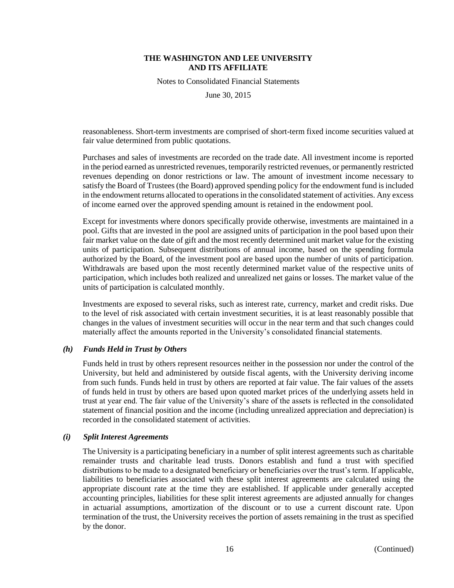Notes to Consolidated Financial Statements

June 30, 2015

reasonableness. Short-term investments are comprised of short-term fixed income securities valued at fair value determined from public quotations.

Purchases and sales of investments are recorded on the trade date. All investment income is reported in the period earned as unrestricted revenues, temporarily restricted revenues, or permanently restricted revenues depending on donor restrictions or law. The amount of investment income necessary to satisfy the Board of Trustees (the Board) approved spending policy for the endowment fund is included in the endowment returns allocated to operations in the consolidated statement of activities. Any excess of income earned over the approved spending amount is retained in the endowment pool.

Except for investments where donors specifically provide otherwise, investments are maintained in a pool. Gifts that are invested in the pool are assigned units of participation in the pool based upon their fair market value on the date of gift and the most recently determined unit market value for the existing units of participation. Subsequent distributions of annual income, based on the spending formula authorized by the Board, of the investment pool are based upon the number of units of participation. Withdrawals are based upon the most recently determined market value of the respective units of participation, which includes both realized and unrealized net gains or losses. The market value of the units of participation is calculated monthly.

Investments are exposed to several risks, such as interest rate, currency, market and credit risks. Due to the level of risk associated with certain investment securities, it is at least reasonably possible that changes in the values of investment securities will occur in the near term and that such changes could materially affect the amounts reported in the University's consolidated financial statements.

# *(h) Funds Held in Trust by Others*

Funds held in trust by others represent resources neither in the possession nor under the control of the University, but held and administered by outside fiscal agents, with the University deriving income from such funds. Funds held in trust by others are reported at fair value. The fair values of the assets of funds held in trust by others are based upon quoted market prices of the underlying assets held in trust at year end. The fair value of the University's share of the assets is reflected in the consolidated statement of financial position and the income (including unrealized appreciation and depreciation) is recorded in the consolidated statement of activities.

#### *(i) Split Interest Agreements*

The University is a participating beneficiary in a number of split interest agreements such as charitable remainder trusts and charitable lead trusts. Donors establish and fund a trust with specified distributions to be made to a designated beneficiary or beneficiaries over the trust's term. If applicable, liabilities to beneficiaries associated with these split interest agreements are calculated using the appropriate discount rate at the time they are established. If applicable under generally accepted accounting principles, liabilities for these split interest agreements are adjusted annually for changes in actuarial assumptions, amortization of the discount or to use a current discount rate. Upon termination of the trust, the University receives the portion of assets remaining in the trust as specified by the donor.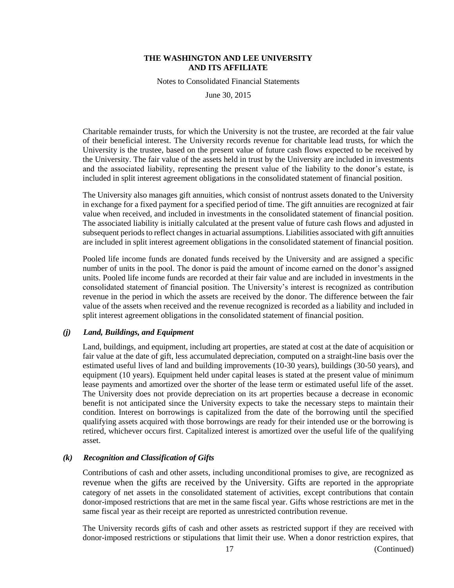Notes to Consolidated Financial Statements

June 30, 2015

Charitable remainder trusts, for which the University is not the trustee, are recorded at the fair value of their beneficial interest. The University records revenue for charitable lead trusts, for which the University is the trustee, based on the present value of future cash flows expected to be received by the University. The fair value of the assets held in trust by the University are included in investments and the associated liability, representing the present value of the liability to the donor's estate, is included in split interest agreement obligations in the consolidated statement of financial position.

The University also manages gift annuities, which consist of nontrust assets donated to the University in exchange for a fixed payment for a specified period of time. The gift annuities are recognized at fair value when received, and included in investments in the consolidated statement of financial position. The associated liability is initially calculated at the present value of future cash flows and adjusted in subsequent periods to reflect changes in actuarial assumptions. Liabilities associated with gift annuities are included in split interest agreement obligations in the consolidated statement of financial position.

Pooled life income funds are donated funds received by the University and are assigned a specific number of units in the pool. The donor is paid the amount of income earned on the donor's assigned units. Pooled life income funds are recorded at their fair value and are included in investments in the consolidated statement of financial position. The University's interest is recognized as contribution revenue in the period in which the assets are received by the donor. The difference between the fair value of the assets when received and the revenue recognized is recorded as a liability and included in split interest agreement obligations in the consolidated statement of financial position.

#### *(j) Land, Buildings, and Equipment*

Land, buildings, and equipment, including art properties, are stated at cost at the date of acquisition or fair value at the date of gift, less accumulated depreciation, computed on a straight-line basis over the estimated useful lives of land and building improvements (10-30 years), buildings (30-50 years), and equipment (10 years). Equipment held under capital leases is stated at the present value of minimum lease payments and amortized over the shorter of the lease term or estimated useful life of the asset. The University does not provide depreciation on its art properties because a decrease in economic benefit is not anticipated since the University expects to take the necessary steps to maintain their condition. Interest on borrowings is capitalized from the date of the borrowing until the specified qualifying assets acquired with those borrowings are ready for their intended use or the borrowing is retired, whichever occurs first. Capitalized interest is amortized over the useful life of the qualifying asset.

# *(k) Recognition and Classification of Gifts*

Contributions of cash and other assets, including unconditional promises to give, are recognized as revenue when the gifts are received by the University. Gifts are reported in the appropriate category of net assets in the consolidated statement of activities, except contributions that contain donor-imposed restrictions that are met in the same fiscal year. Gifts whose restrictions are met in the same fiscal year as their receipt are reported as unrestricted contribution revenue.

The University records gifts of cash and other assets as restricted support if they are received with donor-imposed restrictions or stipulations that limit their use. When a donor restriction expires, that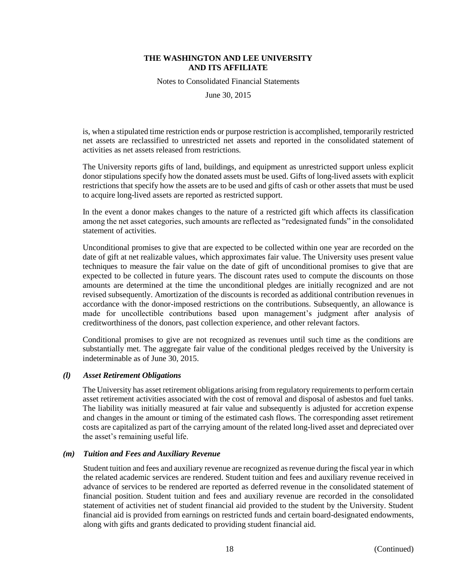Notes to Consolidated Financial Statements

June 30, 2015

is, when a stipulated time restriction ends or purpose restriction is accomplished, temporarily restricted net assets are reclassified to unrestricted net assets and reported in the consolidated statement of activities as net assets released from restrictions.

The University reports gifts of land, buildings, and equipment as unrestricted support unless explicit donor stipulations specify how the donated assets must be used. Gifts of long-lived assets with explicit restrictions that specify how the assets are to be used and gifts of cash or other assets that must be used to acquire long-lived assets are reported as restricted support.

In the event a donor makes changes to the nature of a restricted gift which affects its classification among the net asset categories, such amounts are reflected as "redesignated funds" in the consolidated statement of activities.

Unconditional promises to give that are expected to be collected within one year are recorded on the date of gift at net realizable values, which approximates fair value. The University uses present value techniques to measure the fair value on the date of gift of unconditional promises to give that are expected to be collected in future years. The discount rates used to compute the discounts on those amounts are determined at the time the unconditional pledges are initially recognized and are not revised subsequently. Amortization of the discounts is recorded as additional contribution revenues in accordance with the donor-imposed restrictions on the contributions. Subsequently, an allowance is made for uncollectible contributions based upon management's judgment after analysis of creditworthiness of the donors, past collection experience, and other relevant factors.

Conditional promises to give are not recognized as revenues until such time as the conditions are substantially met. The aggregate fair value of the conditional pledges received by the University is indeterminable as of June 30, 2015.

#### *(l) Asset Retirement Obligations*

The University has asset retirement obligations arising from regulatory requirements to perform certain asset retirement activities associated with the cost of removal and disposal of asbestos and fuel tanks. The liability was initially measured at fair value and subsequently is adjusted for accretion expense and changes in the amount or timing of the estimated cash flows. The corresponding asset retirement costs are capitalized as part of the carrying amount of the related long-lived asset and depreciated over the asset's remaining useful life.

#### *(m) Tuition and Fees and Auxiliary Revenue*

Student tuition and fees and auxiliary revenue are recognized as revenue during the fiscal year in which the related academic services are rendered. Student tuition and fees and auxiliary revenue received in advance of services to be rendered are reported as deferred revenue in the consolidated statement of financial position. Student tuition and fees and auxiliary revenue are recorded in the consolidated statement of activities net of student financial aid provided to the student by the University. Student financial aid is provided from earnings on restricted funds and certain board-designated endowments, along with gifts and grants dedicated to providing student financial aid.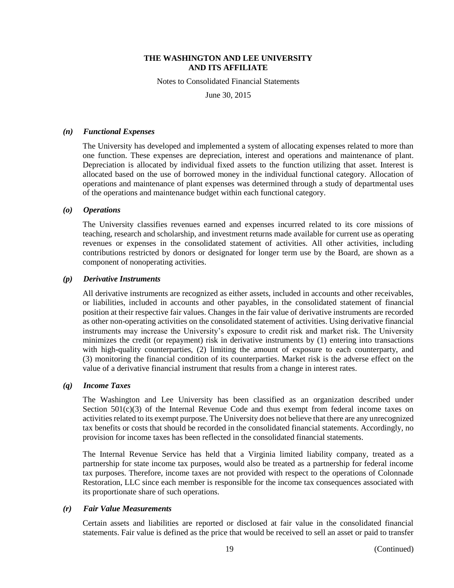Notes to Consolidated Financial Statements

June 30, 2015

## *(n) Functional Expenses*

The University has developed and implemented a system of allocating expenses related to more than one function. These expenses are depreciation, interest and operations and maintenance of plant. Depreciation is allocated by individual fixed assets to the function utilizing that asset. Interest is allocated based on the use of borrowed money in the individual functional category. Allocation of operations and maintenance of plant expenses was determined through a study of departmental uses of the operations and maintenance budget within each functional category.

# *(o) Operations*

The University classifies revenues earned and expenses incurred related to its core missions of teaching, research and scholarship, and investment returns made available for current use as operating revenues or expenses in the consolidated statement of activities. All other activities, including contributions restricted by donors or designated for longer term use by the Board, are shown as a component of nonoperating activities.

# *(p) Derivative Instruments*

All derivative instruments are recognized as either assets, included in accounts and other receivables, or liabilities, included in accounts and other payables, in the consolidated statement of financial position at their respective fair values. Changes in the fair value of derivative instruments are recorded as other non-operating activities on the consolidated statement of activities. Using derivative financial instruments may increase the University's exposure to credit risk and market risk. The University minimizes the credit (or repayment) risk in derivative instruments by (1) entering into transactions with high-quality counterparties, (2) limiting the amount of exposure to each counterparty, and (3) monitoring the financial condition of its counterparties. Market risk is the adverse effect on the value of a derivative financial instrument that results from a change in interest rates.

# *(q) Income Taxes*

The Washington and Lee University has been classified as an organization described under Section  $501(c)(3)$  of the Internal Revenue Code and thus exempt from federal income taxes on activities related to its exempt purpose. The University does not believe that there are any unrecognized tax benefits or costs that should be recorded in the consolidated financial statements. Accordingly, no provision for income taxes has been reflected in the consolidated financial statements.

The Internal Revenue Service has held that a Virginia limited liability company, treated as a partnership for state income tax purposes, would also be treated as a partnership for federal income tax purposes. Therefore, income taxes are not provided with respect to the operations of Colonnade Restoration, LLC since each member is responsible for the income tax consequences associated with its proportionate share of such operations.

# *(r) Fair Value Measurements*

Certain assets and liabilities are reported or disclosed at fair value in the consolidated financial statements. Fair value is defined as the price that would be received to sell an asset or paid to transfer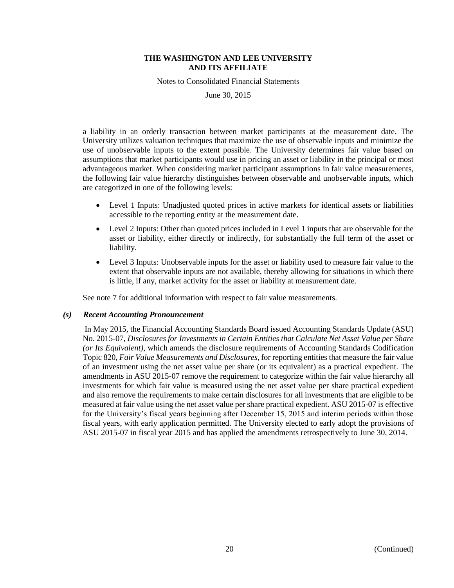Notes to Consolidated Financial Statements

June 30, 2015

a liability in an orderly transaction between market participants at the measurement date. The University utilizes valuation techniques that maximize the use of observable inputs and minimize the use of unobservable inputs to the extent possible. The University determines fair value based on assumptions that market participants would use in pricing an asset or liability in the principal or most advantageous market. When considering market participant assumptions in fair value measurements, the following fair value hierarchy distinguishes between observable and unobservable inputs, which are categorized in one of the following levels:

- Level 1 Inputs: Unadjusted quoted prices in active markets for identical assets or liabilities accessible to the reporting entity at the measurement date.
- Level 2 Inputs: Other than quoted prices included in Level 1 inputs that are observable for the asset or liability, either directly or indirectly, for substantially the full term of the asset or liability.
- Level 3 Inputs: Unobservable inputs for the asset or liability used to measure fair value to the extent that observable inputs are not available, thereby allowing for situations in which there is little, if any, market activity for the asset or liability at measurement date.

See note 7 for additional information with respect to fair value measurements.

#### *(s) Recent Accounting Pronouncement*

In May 2015, the Financial Accounting Standards Board issued Accounting Standards Update (ASU) No. 2015-07, *Disclosures for Investments in Certain Entities that Calculate Net Asset Value per Share (or Its Equivalent)*, which amends the disclosure requirements of Accounting Standards Codification Topic 820, *Fair Value Measurements and Disclosures*, for reporting entities that measure the fair value of an investment using the net asset value per share (or its equivalent) as a practical expedient. The amendments in ASU 2015-07 remove the requirement to categorize within the fair value hierarchy all investments for which fair value is measured using the net asset value per share practical expedient and also remove the requirements to make certain disclosures for all investments that are eligible to be measured at fair value using the net asset value per share practical expedient. ASU 2015-07 is effective for the University's fiscal years beginning after December 15, 2015 and interim periods within those fiscal years, with early application permitted. The University elected to early adopt the provisions of ASU 2015-07 in fiscal year 2015 and has applied the amendments retrospectively to June 30, 2014.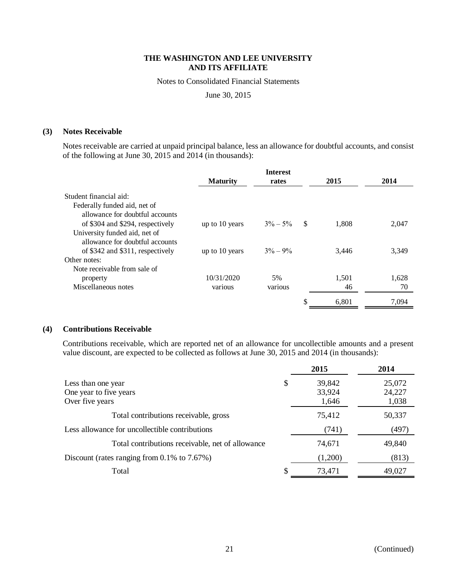Notes to Consolidated Financial Statements

June 30, 2015

#### **(3) Notes Receivable**

Notes receivable are carried at unpaid principal balance, less an allowance for doubtful accounts, and consist of the following at June 30, 2015 and 2014 (in thousands):

|                                  |                 | <b>Interest</b> |      |       |       |
|----------------------------------|-----------------|-----------------|------|-------|-------|
|                                  | <b>Maturity</b> | rates           |      | 2015  | 2014  |
| Student financial aid:           |                 |                 |      |       |       |
| Federally funded aid, net of     |                 |                 |      |       |       |
| allowance for doubtful accounts  |                 |                 |      |       |       |
| of \$304 and \$294, respectively | up to 10 years  | $3\% - 5\%$     | - \$ | 1.808 | 2,047 |
| University funded aid, net of    |                 |                 |      |       |       |
| allowance for doubtful accounts  |                 |                 |      |       |       |
| of \$342 and \$311, respectively | up to 10 years  | $3\% - 9\%$     |      | 3.446 | 3,349 |
| Other notes:                     |                 |                 |      |       |       |
| Note receivable from sale of     |                 |                 |      |       |       |
| property                         | 10/31/2020      | 5%              |      | 1.501 | 1,628 |
| Miscellaneous notes              | various         | various         |      | 46    | 70    |
|                                  |                 |                 | \$   | 6.801 | 7.094 |

# **(4) Contributions Receivable**

Contributions receivable, which are reported net of an allowance for uncollectible amounts and a present value discount, are expected to be collected as follows at June 30, 2015 and 2014 (in thousands):

|                                                                 | 2015                            | 2014                      |
|-----------------------------------------------------------------|---------------------------------|---------------------------|
| Less than one year<br>One year to five years<br>Over five years | \$<br>39,842<br>33,924<br>1,646 | 25,072<br>24,227<br>1,038 |
| Total contributions receivable, gross                           | 75,412                          | 50,337                    |
| Less allowance for uncollectible contributions                  | (741)                           | (497)                     |
| Total contributions receivable, net of allowance                | 74,671                          | 49,840                    |
| Discount (rates ranging from $0.1\%$ to 7.67%)                  | (1,200)                         | (813)                     |
| Total                                                           | 73,471                          | 49,027                    |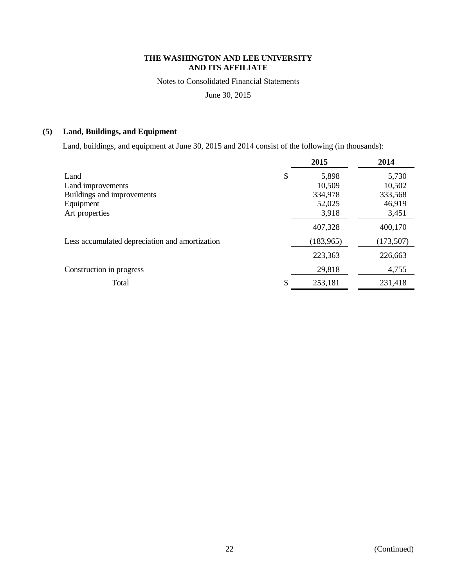Notes to Consolidated Financial Statements

June 30, 2015

# **(5) Land, Buildings, and Equipment**

Land, buildings, and equipment at June 30, 2015 and 2014 consist of the following (in thousands):

|                                                |    | 2015       | 2014      |
|------------------------------------------------|----|------------|-----------|
| Land                                           | \$ | 5,898      | 5,730     |
| Land improvements                              |    | 10,509     | 10,502    |
| Buildings and improvements                     |    | 334,978    | 333,568   |
| Equipment                                      |    | 52,025     | 46,919    |
| Art properties                                 |    | 3,918      | 3,451     |
|                                                |    | 407,328    | 400,170   |
| Less accumulated depreciation and amortization |    | (183, 965) | (173,507) |
|                                                |    | 223,363    | 226,663   |
| Construction in progress                       |    | 29,818     | 4,755     |
| Total                                          | ፍ  | 253,181    | 231,418   |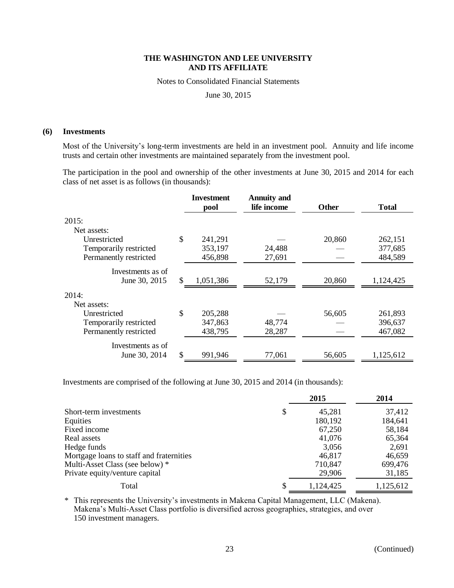Notes to Consolidated Financial Statements

June 30, 2015

### **(6) Investments**

Most of the University's long-term investments are held in an investment pool. Annuity and life income trusts and certain other investments are maintained separately from the investment pool.

The participation in the pool and ownership of the other investments at June 30, 2015 and 2014 for each class of net asset is as follows (in thousands):

|                        |    | <b>Investment</b><br>pool | <b>Annuity and</b><br>life income | <b>Other</b> | <b>Total</b> |
|------------------------|----|---------------------------|-----------------------------------|--------------|--------------|
| 2015:                  |    |                           |                                   |              |              |
| Net assets:            |    |                           |                                   |              |              |
| Unrestricted           | \$ | 241,291                   |                                   | 20,860       | 262,151      |
| Temporarily restricted |    | 353,197                   | 24,488                            |              | 377,685      |
| Permanently restricted |    | 456,898                   | 27,691                            |              | 484,589      |
| Investments as of      |    |                           |                                   |              |              |
| June 30, 2015          | S. | 1,051,386                 | 52,179                            | 20,860       | 1,124,425    |
| 2014:                  |    |                           |                                   |              |              |
| Net assets:            |    |                           |                                   |              |              |
| Unrestricted           | \$ | 205,288                   |                                   | 56,605       | 261,893      |
| Temporarily restricted |    | 347,863                   | 48,774                            |              | 396,637      |
| Permanently restricted |    | 438,795                   | 28,287                            |              | 467,082      |
| Investments as of      |    |                           |                                   |              |              |
| June 30, 2014          | \$ | 991,946                   | 77,061                            | 56,605       | 1,125,612    |

Investments are comprised of the following at June 30, 2015 and 2014 (in thousands):

|                                          | 2015         | 2014      |
|------------------------------------------|--------------|-----------|
| Short-term investments                   | \$<br>45,281 | 37,412    |
| Equities                                 | 180,192      | 184,641   |
| Fixed income                             | 67,250       | 58,184    |
| Real assets                              | 41,076       | 65,364    |
| Hedge funds                              | 3,056        | 2,691     |
| Mortgage loans to staff and fraternities | 46,817       | 46,659    |
| Multi-Asset Class (see below) *          | 710,847      | 699,476   |
| Private equity/venture capital           | 29,906       | 31,185    |
| Total                                    | 1,124,425    | 1,125,612 |

\* This represents the University's investments in Makena Capital Management, LLC (Makena). Makena's Multi-Asset Class portfolio is diversified across geographies, strategies, and over 150 investment managers.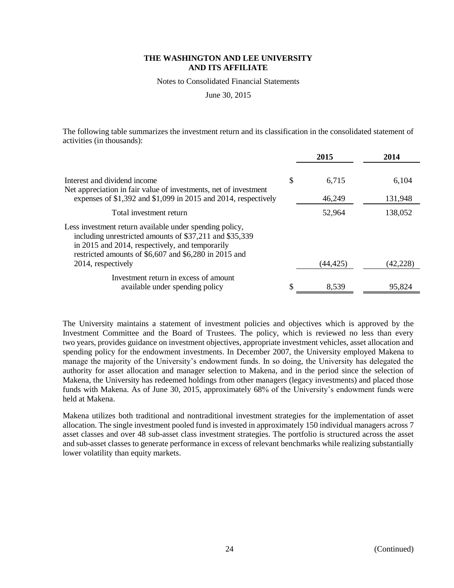Notes to Consolidated Financial Statements

June 30, 2015

The following table summarizes the investment return and its classification in the consolidated statement of activities (in thousands):

|                                                                                                                                                                                                                                                      | 2015        | 2014     |
|------------------------------------------------------------------------------------------------------------------------------------------------------------------------------------------------------------------------------------------------------|-------------|----------|
| Interest and dividend income                                                                                                                                                                                                                         | \$<br>6,715 | 6,104    |
| Net appreciation in fair value of investments, net of investment<br>expenses of \$1,392 and \$1,099 in 2015 and 2014, respectively                                                                                                                   | 46,249      | 131,948  |
| Total investment return                                                                                                                                                                                                                              | 52,964      | 138,052  |
| Less investment return available under spending policy,<br>including unrestricted amounts of \$37,211 and \$35,339<br>in 2015 and 2014, respectively, and temporarily<br>restricted amounts of \$6,607 and \$6,280 in 2015 and<br>2014, respectively | (44, 425)   | (42,228) |
| Investment return in excess of amount<br>available under spending policy                                                                                                                                                                             | \$<br>8,539 | 95,824   |

The University maintains a statement of investment policies and objectives which is approved by the Investment Committee and the Board of Trustees. The policy, which is reviewed no less than every two years, provides guidance on investment objectives, appropriate investment vehicles, asset allocation and spending policy for the endowment investments. In December 2007, the University employed Makena to manage the majority of the University's endowment funds. In so doing, the University has delegated the authority for asset allocation and manager selection to Makena, and in the period since the selection of Makena, the University has redeemed holdings from other managers (legacy investments) and placed those funds with Makena. As of June 30, 2015, approximately 68% of the University's endowment funds were held at Makena.

Makena utilizes both traditional and nontraditional investment strategies for the implementation of asset allocation. The single investment pooled fund is invested in approximately 150 individual managers across 7 asset classes and over 48 sub-asset class investment strategies. The portfolio is structured across the asset and sub-asset classes to generate performance in excess of relevant benchmarks while realizing substantially lower volatility than equity markets.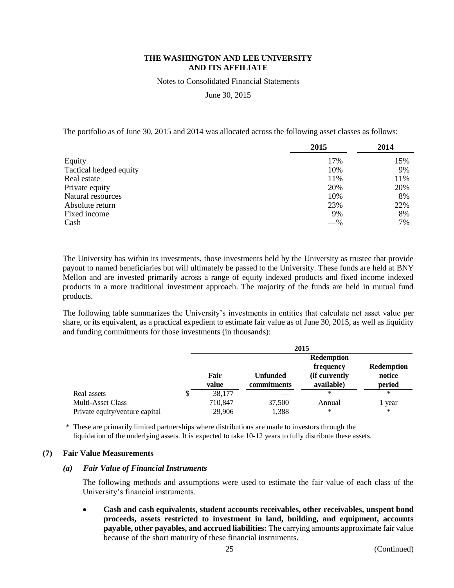Notes to Consolidated Financial Statements

June 30, 2015

The portfolio as of June 30, 2015 and 2014 was allocated across the following asset classes as follows:

|                        | 2015  | 2014 |  |
|------------------------|-------|------|--|
| Equity                 | 17%   | 15%  |  |
| Tactical hedged equity | 10%   | 9%   |  |
| Real estate            | 11%   | 11%  |  |
| Private equity         | 20%   | 20%  |  |
| Natural resources      | 10%   | 8%   |  |
| Absolute return        | 23%   | 22%  |  |
| Fixed income           | 9%    | 8%   |  |
| Cash                   | $-$ % | 7%   |  |

The University has within its investments, those investments held by the University as trustee that provide payout to named beneficiaries but will ultimately be passed to the University. These funds are held at BNY Mellon and are invested primarily across a range of equity indexed products and fixed income indexed products in a more traditional investment approach. The majority of the funds are held in mutual fund products.

The following table summarizes the University's investments in entities that calculate net asset value per share, or its equivalent, as a practical expedient to estimate fair value as of June 30, 2015, as well as liquidity and funding commitments for those investments (in thousands):

|                                |               |                                | 2015                                                          |                                       |
|--------------------------------|---------------|--------------------------------|---------------------------------------------------------------|---------------------------------------|
|                                | Fair<br>value | <b>Unfunded</b><br>commitments | <b>Redemption</b><br>frequency<br>(if currently<br>available) | <b>Redemption</b><br>notice<br>period |
| Real assets                    | 38,177        |                                | $\ast$                                                        | $\ast$                                |
| <b>Multi-Asset Class</b>       | 710,847       | 37,500                         | Annual                                                        | l year                                |
| Private equity/venture capital | 29.906        | 1,388                          | *                                                             | *                                     |

\* These are primarily limited partnerships where distributions are made to investors through the liquidation of the underlying assets. It is expected to take 10-12 years to fully distribute these assets.

#### **(7) Fair Value Measurements**

#### *(a) Fair Value of Financial Instruments*

The following methods and assumptions were used to estimate the fair value of each class of the University's financial instruments.

 **Cash and cash equivalents, student accounts receivables, other receivables, unspent bond proceeds, assets restricted to investment in land, building, and equipment, accounts payable, other payables, and accrued liabilities:** The carrying amounts approximate fair value because of the short maturity of these financial instruments.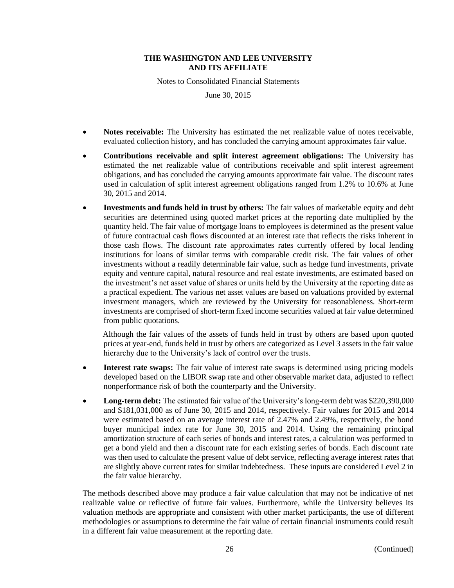Notes to Consolidated Financial Statements

June 30, 2015

- Notes receivable: The University has estimated the net realizable value of notes receivable, evaluated collection history, and has concluded the carrying amount approximates fair value.
- **Contributions receivable and split interest agreement obligations:** The University has estimated the net realizable value of contributions receivable and split interest agreement obligations, and has concluded the carrying amounts approximate fair value. The discount rates used in calculation of split interest agreement obligations ranged from 1.2% to 10.6% at June 30, 2015 and 2014.
- **Investments and funds held in trust by others:** The fair values of marketable equity and debt securities are determined using quoted market prices at the reporting date multiplied by the quantity held. The fair value of mortgage loans to employees is determined as the present value of future contractual cash flows discounted at an interest rate that reflects the risks inherent in those cash flows. The discount rate approximates rates currently offered by local lending institutions for loans of similar terms with comparable credit risk. The fair values of other investments without a readily determinable fair value, such as hedge fund investments, private equity and venture capital, natural resource and real estate investments, are estimated based on the investment's net asset value of shares or units held by the University at the reporting date as a practical expedient. The various net asset values are based on valuations provided by external investment managers, which are reviewed by the University for reasonableness. Short-term investments are comprised of short-term fixed income securities valued at fair value determined from public quotations.

Although the fair values of the assets of funds held in trust by others are based upon quoted prices at year-end, funds held in trust by others are categorized as Level 3 assets in the fair value hierarchy due to the University's lack of control over the trusts.

- **Interest rate swaps:** The fair value of interest rate swaps is determined using pricing models developed based on the LIBOR swap rate and other observable market data, adjusted to reflect nonperformance risk of both the counterparty and the University.
- **Long-term debt:** The estimated fair value of the University's long-term debt was \$220,390,000 and \$181,031,000 as of June 30, 2015 and 2014, respectively. Fair values for 2015 and 2014 were estimated based on an average interest rate of 2.47% and 2.49%, respectively, the bond buyer municipal index rate for June 30, 2015 and 2014. Using the remaining principal amortization structure of each series of bonds and interest rates, a calculation was performed to get a bond yield and then a discount rate for each existing series of bonds. Each discount rate was then used to calculate the present value of debt service, reflecting average interest rates that are slightly above current rates for similar indebtedness. These inputs are considered Level 2 in the fair value hierarchy.

The methods described above may produce a fair value calculation that may not be indicative of net realizable value or reflective of future fair values. Furthermore, while the University believes its valuation methods are appropriate and consistent with other market participants, the use of different methodologies or assumptions to determine the fair value of certain financial instruments could result in a different fair value measurement at the reporting date.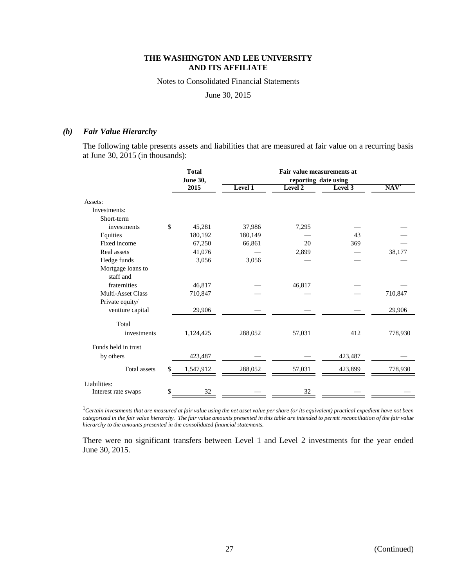Notes to Consolidated Financial Statements

June 30, 2015

#### *(b) Fair Value Hierarchy*

The following table presents assets and liabilities that are measured at fair value on a recurring basis at June 30, 2015 (in thousands):

|                                | <b>Total</b>    | Fair value measurements at |                      |         |                  |  |  |  |
|--------------------------------|-----------------|----------------------------|----------------------|---------|------------------|--|--|--|
|                                | <b>June 30,</b> |                            | reporting date using |         |                  |  |  |  |
|                                | 2015            | Level 1                    | Level 2              | Level 3 | NAV <sup>T</sup> |  |  |  |
| Assets:                        |                 |                            |                      |         |                  |  |  |  |
| Investments:                   |                 |                            |                      |         |                  |  |  |  |
| Short-term                     |                 |                            |                      |         |                  |  |  |  |
| investments                    | \$<br>45,281    | 37,986                     | 7,295                |         |                  |  |  |  |
| Equities                       | 180,192         | 180,149                    |                      | 43      |                  |  |  |  |
| Fixed income                   | 67,250          | 66,861                     | 20                   | 369     |                  |  |  |  |
| Real assets                    | 41,076          |                            | 2,899                |         | 38,177           |  |  |  |
| Hedge funds                    | 3,056           | 3,056                      |                      |         |                  |  |  |  |
| Mortgage loans to<br>staff and |                 |                            |                      |         |                  |  |  |  |
| fraternities                   | 46,817          |                            | 46,817               |         |                  |  |  |  |
| <b>Multi-Asset Class</b>       | 710,847         |                            |                      |         | 710,847          |  |  |  |
| Private equity/                |                 |                            |                      |         |                  |  |  |  |
| ventture capital               | 29,906          |                            |                      |         | 29,906           |  |  |  |
| Total                          |                 |                            |                      |         |                  |  |  |  |
| investments                    | 1,124,425       | 288,052                    | 57,031               | 412     | 778,930          |  |  |  |
| Funds held in trust            |                 |                            |                      |         |                  |  |  |  |
| by others                      | 423,487         |                            |                      | 423,487 |                  |  |  |  |
| Total assets                   | \$<br>1,547,912 | 288,052                    | 57,031               | 423,899 | 778,930          |  |  |  |
| Liabilities:                   |                 |                            |                      |         |                  |  |  |  |
| Interest rate swaps            | \$<br>32        |                            | 32                   |         |                  |  |  |  |

<sup>1</sup>*Certain investments that are measured at fair value using the net asset value per share (or its equivalent) practical expedient have not been categorized in the fair value hierarchy. The fair value amounts presented in this table are intended to permit reconciliation of the fair value hierarchy to the amounts presented in the consolidated financial statements.*

There were no significant transfers between Level 1 and Level 2 investments for the year ended June 30, 2015.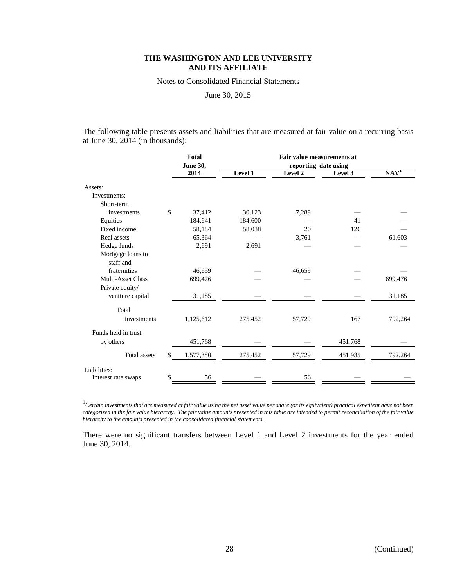Notes to Consolidated Financial Statements

June 30, 2015

The following table presents assets and liabilities that are measured at fair value on a recurring basis at June 30, 2014 (in thousands):

|                                | <b>Total</b><br><b>June 30,</b> |         |                                 |         |                  |
|--------------------------------|---------------------------------|---------|---------------------------------|---------|------------------|
|                                | 2014                            | Level 1 | reporting date using<br>Level 2 | Level 3 | NAV <sup>T</sup> |
| Assets:                        |                                 |         |                                 |         |                  |
| Investments:                   |                                 |         |                                 |         |                  |
| Short-term                     |                                 |         |                                 |         |                  |
| investments                    | \$<br>37,412                    | 30,123  | 7,289                           |         |                  |
| Equities                       | 184,641                         | 184,600 |                                 | 41      |                  |
| Fixed income                   | 58,184                          | 58,038  | 20                              | 126     |                  |
| Real assets                    | 65,364                          |         | 3,761                           |         | 61,603           |
| Hedge funds                    | 2,691                           | 2,691   |                                 |         |                  |
| Mortgage loans to<br>staff and |                                 |         |                                 |         |                  |
| fraternities                   | 46,659                          |         | 46,659                          |         |                  |
| <b>Multi-Asset Class</b>       | 699,476                         |         |                                 |         | 699,476          |
| Private equity/                |                                 |         |                                 |         |                  |
| ventture capital               | 31,185                          |         |                                 |         | 31,185           |
| Total                          |                                 |         |                                 |         |                  |
| investments                    | 1,125,612                       | 275,452 | 57,729                          | 167     | 792,264          |
| Funds held in trust            |                                 |         |                                 |         |                  |
| by others                      | 451,768                         |         |                                 | 451,768 |                  |
| Total assets                   | \$<br>1,577,380                 | 275,452 | 57,729                          | 451,935 | 792,264          |
| Liabilities:                   |                                 |         |                                 |         |                  |
| Interest rate swaps            | \$<br>56                        |         | 56                              |         |                  |

<sup>1</sup>*Certain investments that are measured at fair value using the net asset value per share (or its equivalent) practical expedient have not been categorized in the fair value hierarchy. The fair value amounts presented in this table are intended to permit reconciliation of the fair value hierarchy to the amounts presented in the consolidated financial statements.*

There were no significant transfers between Level 1 and Level 2 investments for the year ended June 30, 2014.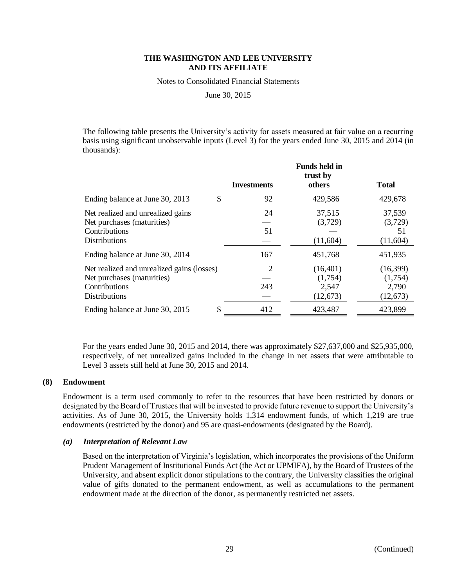Notes to Consolidated Financial Statements

June 30, 2015

The following table presents the University's activity for assets measured at fair value on a recurring basis using significant unobservable inputs (Level 3) for the years ended June 30, 2015 and 2014 (in thousands):

|                                                                                                                   | <b>Investments</b> | <b>Funds held in</b><br>trust by<br>others | <b>Total</b>                              |
|-------------------------------------------------------------------------------------------------------------------|--------------------|--------------------------------------------|-------------------------------------------|
| \$<br>Ending balance at June 30, 2013                                                                             | 92                 | 429,586                                    | 429,678                                   |
| Net realized and unrealized gains<br>Net purchases (maturities)<br>Contributions<br><b>Distributions</b>          | 24<br>51           | 37,515<br>(3,729)<br>(11,604)              | 37,539<br>(3,729)<br>51<br>(11,604)       |
| Ending balance at June 30, 2014                                                                                   | 167                | 451,768                                    | 451,935                                   |
| Net realized and unrealized gains (losses)<br>Net purchases (maturities)<br>Contributions<br><b>Distributions</b> | 2<br>243           | (16, 401)<br>(1,754)<br>2.547<br>(12,673)  | (16,399)<br>(1,754)<br>2,790<br>(12, 673) |
| \$<br>Ending balance at June 30, 2015                                                                             | 412                | 423,487                                    | 423,899                                   |

For the years ended June 30, 2015 and 2014, there was approximately \$27,637,000 and \$25,935,000, respectively, of net unrealized gains included in the change in net assets that were attributable to Level 3 assets still held at June 30, 2015 and 2014.

#### **(8) Endowment**

Endowment is a term used commonly to refer to the resources that have been restricted by donors or designated by the Board of Trustees that will be invested to provide future revenue to support the University's activities. As of June 30, 2015, the University holds 1,314 endowment funds, of which 1,219 are true endowments (restricted by the donor) and 95 are quasi-endowments (designated by the Board).

#### *(a) Interpretation of Relevant Law*

Based on the interpretation of Virginia's legislation, which incorporates the provisions of the Uniform Prudent Management of Institutional Funds Act (the Act or UPMIFA), by the Board of Trustees of the University, and absent explicit donor stipulations to the contrary, the University classifies the original value of gifts donated to the permanent endowment, as well as accumulations to the permanent endowment made at the direction of the donor, as permanently restricted net assets.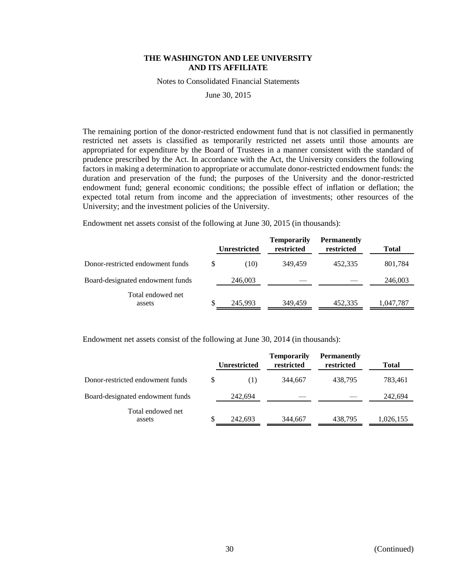Notes to Consolidated Financial Statements

June 30, 2015

The remaining portion of the donor-restricted endowment fund that is not classified in permanently restricted net assets is classified as temporarily restricted net assets until those amounts are appropriated for expenditure by the Board of Trustees in a manner consistent with the standard of prudence prescribed by the Act. In accordance with the Act, the University considers the following factors in making a determination to appropriate or accumulate donor-restricted endowment funds: the duration and preservation of the fund; the purposes of the University and the donor-restricted endowment fund; general economic conditions; the possible effect of inflation or deflation; the expected total return from income and the appreciation of investments; other resources of the University; and the investment policies of the University.

Endowment net assets consist of the following at June 30, 2015 (in thousands):

|                                  |   | Unrestricted | <b>Temporarily</b><br>restricted | <b>Permanently</b><br>restricted | <b>Total</b> |
|----------------------------------|---|--------------|----------------------------------|----------------------------------|--------------|
| Donor-restricted endowment funds | S | (10)         | 349.459                          | 452.335                          | 801,784      |
| Board-designated endowment funds |   | 246,003      |                                  |                                  | 246,003      |
| Total endowed net<br>assets      |   | 245,993      | 349,459                          | 452.335                          | 1,047,787    |

Endowment net assets consist of the following at June 30, 2014 (in thousands):

|                                  |   | <b>Unrestricted</b> | <b>Temporarily</b><br>restricted | <b>Permanently</b><br>restricted | <b>Total</b> |
|----------------------------------|---|---------------------|----------------------------------|----------------------------------|--------------|
| Donor-restricted endowment funds | S | (1)                 | 344,667                          | 438.795                          | 783.461      |
| Board-designated endowment funds |   | 242.694             |                                  |                                  | 242.694      |
| Total endowed net<br>assets      |   | 242.693             | 344,667                          | 438,795                          | 1,026,155    |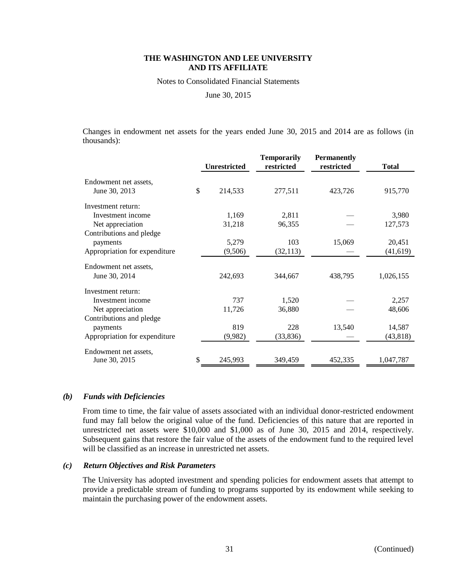Notes to Consolidated Financial Statements

June 30, 2015

Changes in endowment net assets for the years ended June 30, 2015 and 2014 are as follows (in thousands):

|                                        | <b>Unrestricted</b> | <b>Temporarily</b><br>restricted | <b>Permanently</b><br>restricted | <b>Total</b> |
|----------------------------------------|---------------------|----------------------------------|----------------------------------|--------------|
| Endowment net assets,<br>June 30, 2013 | \$<br>214,533       | 277,511                          | 423,726                          | 915,770      |
| Investment return:                     |                     |                                  |                                  |              |
| Investment income                      | 1,169               | 2,811                            |                                  | 3,980        |
| Net appreciation                       | 31,218              | 96,355                           |                                  | 127,573      |
| Contributions and pledge               |                     |                                  |                                  |              |
| payments                               | 5,279               | 103                              | 15,069                           | 20,451       |
| Appropriation for expenditure          | (9,506)             | (32, 113)                        |                                  | (41, 619)    |
| Endowment net assets,                  |                     |                                  |                                  |              |
| June 30, 2014                          | 242,693             | 344,667                          | 438,795                          | 1,026,155    |
| Investment return:                     |                     |                                  |                                  |              |
| Investment income                      | 737                 | 1,520                            |                                  | 2,257        |
| Net appreciation                       | 11,726              | 36,880                           |                                  | 48,606       |
| Contributions and pledge               |                     |                                  |                                  |              |
| payments                               | 819                 | 228                              | 13,540                           | 14,587       |
| Appropriation for expenditure          | (9,982)             | (33, 836)                        |                                  | (43, 818)    |
| Endowment net assets,                  |                     |                                  |                                  |              |
| June 30, 2015                          | \$<br>245,993       | 349,459                          | 452,335                          | 1,047,787    |

# *(b) Funds with Deficiencies*

From time to time, the fair value of assets associated with an individual donor-restricted endowment fund may fall below the original value of the fund. Deficiencies of this nature that are reported in unrestricted net assets were \$10,000 and \$1,000 as of June 30, 2015 and 2014, respectively. Subsequent gains that restore the fair value of the assets of the endowment fund to the required level will be classified as an increase in unrestricted net assets.

#### *(c) Return Objectives and Risk Parameters*

The University has adopted investment and spending policies for endowment assets that attempt to provide a predictable stream of funding to programs supported by its endowment while seeking to maintain the purchasing power of the endowment assets.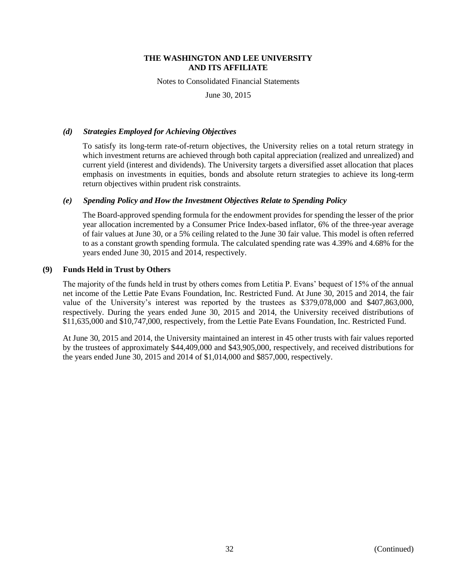Notes to Consolidated Financial Statements

June 30, 2015

# *(d) Strategies Employed for Achieving Objectives*

To satisfy its long-term rate-of-return objectives, the University relies on a total return strategy in which investment returns are achieved through both capital appreciation (realized and unrealized) and current yield (interest and dividends). The University targets a diversified asset allocation that places emphasis on investments in equities, bonds and absolute return strategies to achieve its long-term return objectives within prudent risk constraints.

# *(e) Spending Policy and How the Investment Objectives Relate to Spending Policy*

The Board-approved spending formula for the endowment provides for spending the lesser of the prior year allocation incremented by a Consumer Price Index-based inflator, 6% of the three-year average of fair values at June 30, or a 5% ceiling related to the June 30 fair value. This model is often referred to as a constant growth spending formula. The calculated spending rate was 4.39% and 4.68% for the years ended June 30, 2015 and 2014, respectively.

# **(9) Funds Held in Trust by Others**

The majority of the funds held in trust by others comes from Letitia P. Evans' bequest of 15% of the annual net income of the Lettie Pate Evans Foundation, Inc. Restricted Fund. At June 30, 2015 and 2014, the fair value of the University's interest was reported by the trustees as \$379,078,000 and \$407,863,000, respectively. During the years ended June 30, 2015 and 2014, the University received distributions of \$11,635,000 and \$10,747,000, respectively, from the Lettie Pate Evans Foundation, Inc. Restricted Fund.

At June 30, 2015 and 2014, the University maintained an interest in 45 other trusts with fair values reported by the trustees of approximately \$44,409,000 and \$43,905,000, respectively, and received distributions for the years ended June 30, 2015 and 2014 of \$1,014,000 and \$857,000, respectively.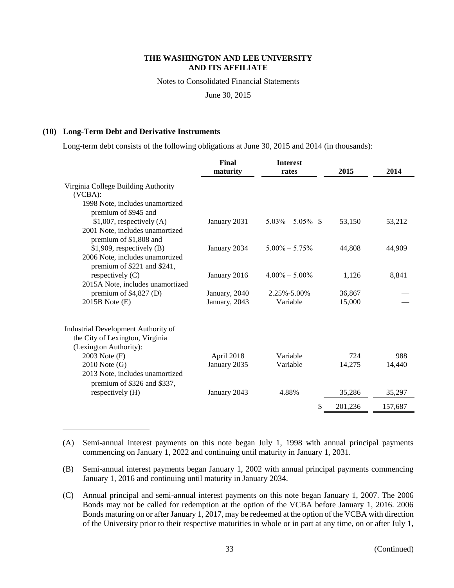Notes to Consolidated Financial Statements

June 30, 2015

# **(10) Long-Term Debt and Derivative Instruments**

 $\overline{a}$ 

Long-term debt consists of the following obligations at June 30, 2015 and 2014 (in thousands):

|                                                                                                                  | Final<br>maturity | <b>Interest</b><br>rates | 2015    | 2014    |
|------------------------------------------------------------------------------------------------------------------|-------------------|--------------------------|---------|---------|
| Virginia College Building Authority<br>(VCBA):<br>1998 Note, includes unamortized                                |                   |                          |         |         |
| premium of \$945 and<br>$$1,007$ , respectively (A)<br>2001 Note, includes unamortized<br>premium of \$1,808 and | January 2031      | $5.03\% - 5.05\%$ \$     | 53,150  | 53,212  |
| $$1,909$ , respectively (B)<br>2006 Note, includes unamortized<br>premium of \$221 and \$241,                    | January 2034      | $5.00\% - 5.75\%$        | 44,808  | 44,909  |
| respectively $(C)$<br>2015A Note, includes unamortized                                                           | January 2016      | $4.00\% - 5.00\%$        | 1,126   | 8,841   |
| premium of $$4,827$ (D)                                                                                          | January, 2040     | 2.25%-5.00%              | 36,867  |         |
| 2015B Note (E)                                                                                                   | January, 2043     | Variable                 | 15,000  |         |
| Industrial Development Authority of<br>the City of Lexington, Virginia<br>(Lexington Authority):                 |                   |                          |         |         |
| 2003 Note (F)                                                                                                    | April 2018        | Variable                 | 724     | 988     |
| $2010$ Note $(G)$<br>2013 Note, includes unamortized<br>premium of \$326 and \$337,                              | January 2035      | Variable                 | 14,275  | 14,440  |
| respectively (H)                                                                                                 | January 2043      | 4.88%                    | 35,286  | 35,297  |
|                                                                                                                  |                   |                          | 201,236 | 157,687 |

<sup>(</sup>A) Semi-annual interest payments on this note began July 1, 1998 with annual principal payments commencing on January 1, 2022 and continuing until maturity in January 1, 2031.

<sup>(</sup>B) Semi-annual interest payments began January 1, 2002 with annual principal payments commencing January 1, 2016 and continuing until maturity in January 2034.

<sup>(</sup>C) Annual principal and semi-annual interest payments on this note began January 1, 2007. The 2006 Bonds may not be called for redemption at the option of the VCBA before January 1, 2016. 2006 Bonds maturing on or after January 1, 2017, may be redeemed at the option of the VCBA with direction of the University prior to their respective maturities in whole or in part at any time, on or after July 1,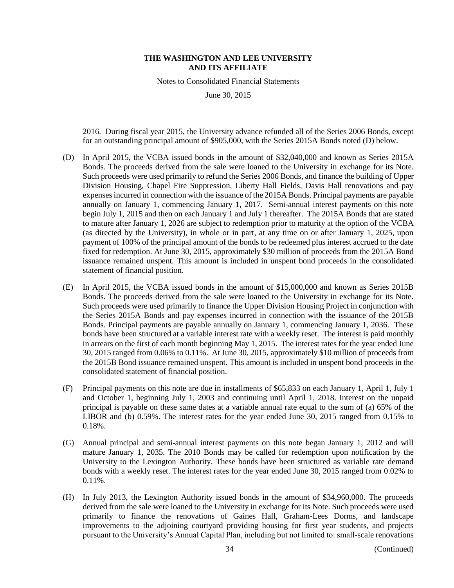Notes to Consolidated Financial Statements

June 30, 2015

2016. During fiscal year 2015, the University advance refunded all of the Series 2006 Bonds, except for an outstanding principal amount of \$905,000, with the Series 2015A Bonds noted (D) below.

- (D) In April 2015, the VCBA issued bonds in the amount of \$32,040,000 and known as Series 2015A Bonds. The proceeds derived from the sale were loaned to the University in exchange for its Note. Such proceeds were used primarily to refund the Series 2006 Bonds, and finance the building of Upper Division Housing, Chapel Fire Suppression, Liberty Hall Fields, Davis Hall renovations and pay expenses incurred in connection with the issuance of the 2015A Bonds. Principal payments are payable annually on January 1, commencing January 1, 2017. Semi-annual interest payments on this note begin July 1, 2015 and then on each January 1 and July 1 thereafter. The 2015A Bonds that are stated to mature after January 1, 2026 are subject to redemption prior to maturity at the option of the VCBA (as directed by the University), in whole or in part, at any time on or after January 1, 2025, upon payment of 100% of the principal amount of the bonds to be redeemed plus interest accrued to the date fixed for redemption. At June 30, 2015, approximately \$30 million of proceeds from the 2015A Bond issuance remained unspent. This amount is included in unspent bond proceeds in the consolidated statement of financial position.
- (E) In April 2015, the VCBA issued bonds in the amount of \$15,000,000 and known as Series 2015B Bonds. The proceeds derived from the sale were loaned to the University in exchange for its Note. Such proceeds were used primarily to finance the Upper Division Housing Project in conjunction with the Series 2015A Bonds and pay expenses incurred in connection with the issuance of the 2015B Bonds. Principal payments are payable annually on January 1, commencing January 1, 2036. These bonds have been structured at a variable interest rate with a weekly reset. The interest is paid monthly in arrears on the first of each month beginning May 1, 2015. The interest rates for the year ended June 30, 2015 ranged from 0.06% to 0.11%. At June 30, 2015, approximately \$10 million of proceeds from the 2015B Bond issuance remained unspent. This amount is included in unspent bond proceeds in the consolidated statement of financial position.
- (F) Principal payments on this note are due in installments of \$65,833 on each January 1, April 1, July 1 and October 1, beginning July 1, 2003 and continuing until April 1, 2018. Interest on the unpaid principal is payable on these same dates at a variable annual rate equal to the sum of (a) 65% of the LIBOR and (b) 0.59%. The interest rates for the year ended June 30, 2015 ranged from 0.15% to 0.18%.
- (G) Annual principal and semi-annual interest payments on this note began January 1, 2012 and will mature January 1, 2035. The 2010 Bonds may be called for redemption upon notification by the University to the Lexington Authority. These bonds have been structured as variable rate demand bonds with a weekly reset. The interest rates for the year ended June 30, 2015 ranged from 0.02% to 0.11%.
- (H) In July 2013, the Lexington Authority issued bonds in the amount of \$34,960,000. The proceeds derived from the sale were loaned to the University in exchange for its Note. Such proceeds were used primarily to finance the renovations of Gaines Hall, Graham-Lees Dorms, and landscape improvements to the adjoining courtyard providing housing for first year students, and projects pursuant to the University's Annual Capital Plan, including but not limited to: small-scale renovations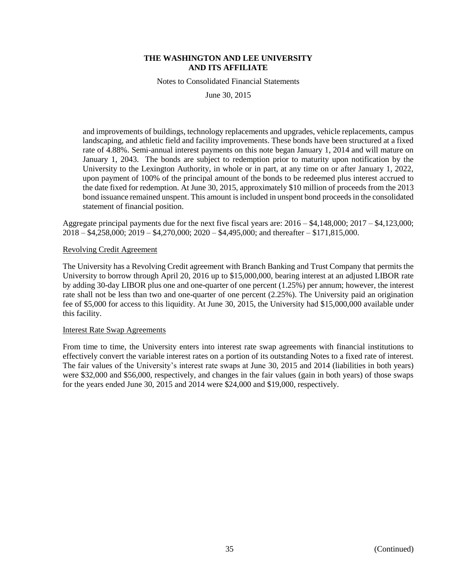Notes to Consolidated Financial Statements

June 30, 2015

and improvements of buildings, technology replacements and upgrades, vehicle replacements, campus landscaping, and athletic field and facility improvements. These bonds have been structured at a fixed rate of 4.88%. Semi-annual interest payments on this note began January 1, 2014 and will mature on January 1, 2043. The bonds are subject to redemption prior to maturity upon notification by the University to the Lexington Authority, in whole or in part, at any time on or after January 1, 2022, upon payment of 100% of the principal amount of the bonds to be redeemed plus interest accrued to the date fixed for redemption. At June 30, 2015, approximately \$10 million of proceeds from the 2013 bond issuance remained unspent. This amount is included in unspent bond proceeds in the consolidated statement of financial position.

Aggregate principal payments due for the next five fiscal years are:  $2016 - $4,148,000$ ;  $2017 - $4,123,000$ ; 2018 – \$4,258,000; 2019 – \$4,270,000; 2020 – \$4,495,000; and thereafter – \$171,815,000.

#### Revolving Credit Agreement

The University has a Revolving Credit agreement with Branch Banking and Trust Company that permits the University to borrow through April 20, 2016 up to \$15,000,000, bearing interest at an adjusted LIBOR rate by adding 30-day LIBOR plus one and one-quarter of one percent (1.25%) per annum; however, the interest rate shall not be less than two and one-quarter of one percent (2.25%). The University paid an origination fee of \$5,000 for access to this liquidity. At June 30, 2015, the University had \$15,000,000 available under this facility.

# Interest Rate Swap Agreements

From time to time, the University enters into interest rate swap agreements with financial institutions to effectively convert the variable interest rates on a portion of its outstanding Notes to a fixed rate of interest. The fair values of the University's interest rate swaps at June 30, 2015 and 2014 (liabilities in both years) were \$32,000 and \$56,000, respectively, and changes in the fair values (gain in both years) of those swaps for the years ended June 30, 2015 and 2014 were \$24,000 and \$19,000, respectively.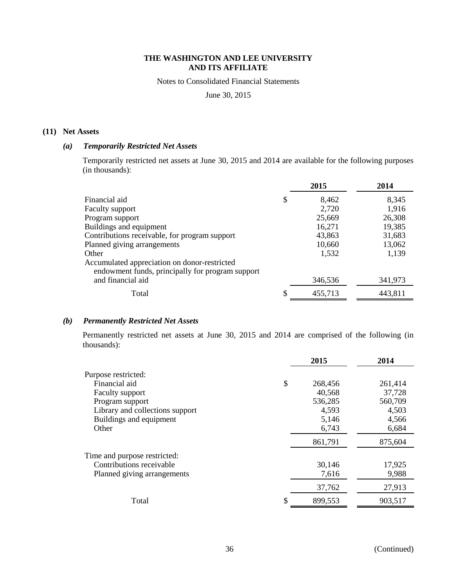Notes to Consolidated Financial Statements

June 30, 2015

#### **(11) Net Assets**

#### *(a) Temporarily Restricted Net Assets*

Temporarily restricted net assets at June 30, 2015 and 2014 are available for the following purposes (in thousands):

|                                                                                                  |    | 2015    | 2014    |
|--------------------------------------------------------------------------------------------------|----|---------|---------|
| Financial aid                                                                                    | \$ | 8,462   | 8,345   |
| <b>Faculty support</b>                                                                           |    | 2,720   | 1,916   |
| Program support                                                                                  |    | 25,669  | 26,308  |
| Buildings and equipment                                                                          |    | 16,271  | 19,385  |
| Contributions receivable, for program support                                                    |    | 43,863  | 31,683  |
| Planned giving arrangements                                                                      |    | 10,660  | 13,062  |
| Other                                                                                            |    | 1,532   | 1,139   |
| Accumulated appreciation on donor-restricted<br>endowment funds, principally for program support |    |         |         |
| and financial aid                                                                                |    | 346,536 | 341,973 |
| Total                                                                                            | S  | 455,713 | 443,811 |

## *(b) Permanently Restricted Net Assets*

Permanently restricted net assets at June 30, 2015 and 2014 are comprised of the following (in thousands):

|                                 | 2015          | 2014    |
|---------------------------------|---------------|---------|
| Purpose restricted:             |               |         |
| Financial aid                   | \$<br>268,456 | 261,414 |
| Faculty support                 | 40,568        | 37,728  |
| Program support                 | 536,285       | 560,709 |
| Library and collections support | 4,593         | 4,503   |
| Buildings and equipment         | 5,146         | 4,566   |
| Other                           | 6,743         | 6,684   |
|                                 | 861,791       | 875,604 |
| Time and purpose restricted:    |               |         |
| Contributions receivable        | 30,146        | 17,925  |
| Planned giving arrangements     | 7,616         | 9,988   |
|                                 | 37,762        | 27,913  |
| Total                           | \$<br>899,553 | 903,517 |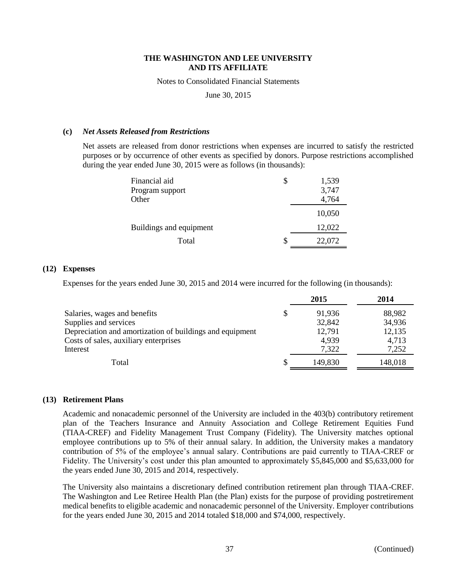Notes to Consolidated Financial Statements

June 30, 2015

# **(c)** *Net Assets Released from Restrictions*

Net assets are released from donor restrictions when expenses are incurred to satisfy the restricted purposes or by occurrence of other events as specified by donors. Purpose restrictions accomplished during the year ended June 30, 2015 were as follows (in thousands):

| Financial aid           | \$<br>1,539  |
|-------------------------|--------------|
| Program support         | 3,747        |
| Other                   | 4,764        |
|                         | 10,050       |
| Buildings and equipment | 12,022       |
| Total                   | \$<br>22,072 |

# **(12) Expenses**

Expenses for the years ended June 30, 2015 and 2014 were incurred for the following (in thousands):

|                                                          | 2015    | 2014    |
|----------------------------------------------------------|---------|---------|
| Salaries, wages and benefits                             | 91,936  | 88,982  |
| Supplies and services                                    | 32,842  | 34,936  |
| Depreciation and amortization of buildings and equipment | 12,791  | 12,135  |
| Costs of sales, auxiliary enterprises                    | 4,939   | 4,713   |
| Interest                                                 | 7,322   | 7,252   |
| Total                                                    | 149,830 | 148,018 |

#### **(13) Retirement Plans**

Academic and nonacademic personnel of the University are included in the 403(b) contributory retirement plan of the Teachers Insurance and Annuity Association and College Retirement Equities Fund (TIAA-CREF) and Fidelity Management Trust Company (Fidelity). The University matches optional employee contributions up to 5% of their annual salary. In addition, the University makes a mandatory contribution of 5% of the employee's annual salary. Contributions are paid currently to TIAA-CREF or Fidelity. The University's cost under this plan amounted to approximately \$5,845,000 and \$5,633,000 for the years ended June 30, 2015 and 2014, respectively.

The University also maintains a discretionary defined contribution retirement plan through TIAA-CREF. The Washington and Lee Retiree Health Plan (the Plan) exists for the purpose of providing postretirement medical benefits to eligible academic and nonacademic personnel of the University. Employer contributions for the years ended June 30, 2015 and 2014 totaled \$18,000 and \$74,000, respectively.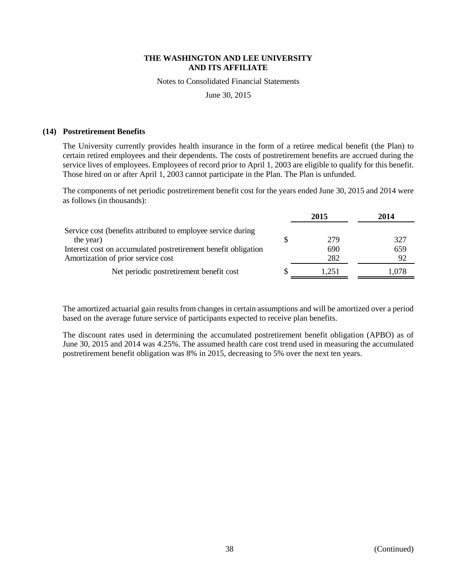Notes to Consolidated Financial Statements

June 30, 2015

#### **(14) Postretirement Benefits**

The University currently provides health insurance in the form of a retiree medical benefit (the Plan) to certain retired employees and their dependents. The costs of postretirement benefits are accrued during the service lives of employees. Employees of record prior to April 1, 2003 are eligible to qualify for this benefit. Those hired on or after April 1, 2003 cannot participate in the Plan. The Plan is unfunded.

The components of net periodic postretirement benefit cost for the years ended June 30, 2015 and 2014 were as follows (in thousands):

|                                                                | 2015  | 2014  |
|----------------------------------------------------------------|-------|-------|
| Service cost (benefits attributed to employee service during   |       |       |
| the year)                                                      | 279   | 327   |
| Interest cost on accumulated postretirement benefit obligation | 690   | 659   |
| Amortization of prior service cost                             | 282   | 92    |
| Net periodic postretirement benefit cost                       | 1.251 | l.078 |

The amortized actuarial gain results from changes in certain assumptions and will be amortized over a period based on the average future service of participants expected to receive plan benefits.

The discount rates used in determining the accumulated postretirement benefit obligation (APBO) as of June 30, 2015 and 2014 was 4.25%. The assumed health care cost trend used in measuring the accumulated postretirement benefit obligation was 8% in 2015, decreasing to 5% over the next ten years.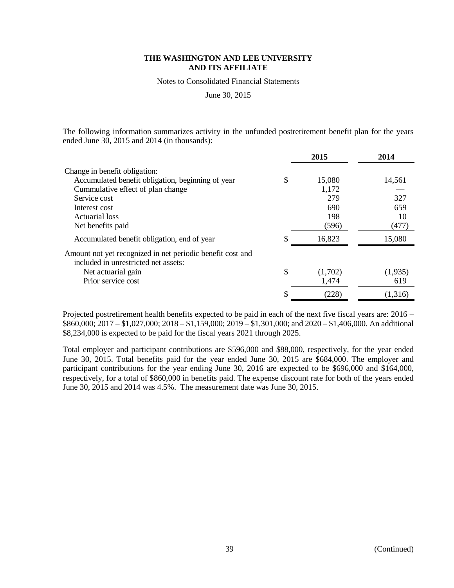Notes to Consolidated Financial Statements

June 30, 2015

The following information summarizes activity in the unfunded postretirement benefit plan for the years ended June 30, 2015 and 2014 (in thousands):

|                                                            | 2015          | 2014    |
|------------------------------------------------------------|---------------|---------|
| Change in benefit obligation:                              |               |         |
| Accumulated benefit obligation, beginning of year          | \$<br>15,080  | 14,561  |
| Cummulative effect of plan change                          | 1,172         |         |
| Service cost                                               | 279           | 327     |
| Interest cost                                              | 690           | 659     |
| <b>Actuarial</b> loss                                      | 198           | 10      |
| Net benefits paid                                          | (596)         | (477)   |
| Accumulated benefit obligation, end of year                | 16,823        | 15,080  |
| Amount not yet recognized in net periodic benefit cost and |               |         |
| included in unrestricted net assets:                       |               |         |
| Net actuarial gain                                         | \$<br>(1,702) | (1,935) |
| Prior service cost                                         | 1,474         | 619     |
|                                                            | (228)         | (1,316) |

Projected postretirement health benefits expected to be paid in each of the next five fiscal years are: 2016 – \$860,000; 2017 – \$1,027,000; 2018 – \$1,159,000; 2019 – \$1,301,000; and 2020 – \$1,406,000. An additional \$8,234,000 is expected to be paid for the fiscal years 2021 through 2025.

Total employer and participant contributions are \$596,000 and \$88,000, respectively, for the year ended June 30, 2015. Total benefits paid for the year ended June 30, 2015 are \$684,000. The employer and participant contributions for the year ending June 30, 2016 are expected to be \$696,000 and \$164,000, respectively, for a total of \$860,000 in benefits paid. The expense discount rate for both of the years ended June 30, 2015 and 2014 was 4.5%. The measurement date was June 30, 2015.